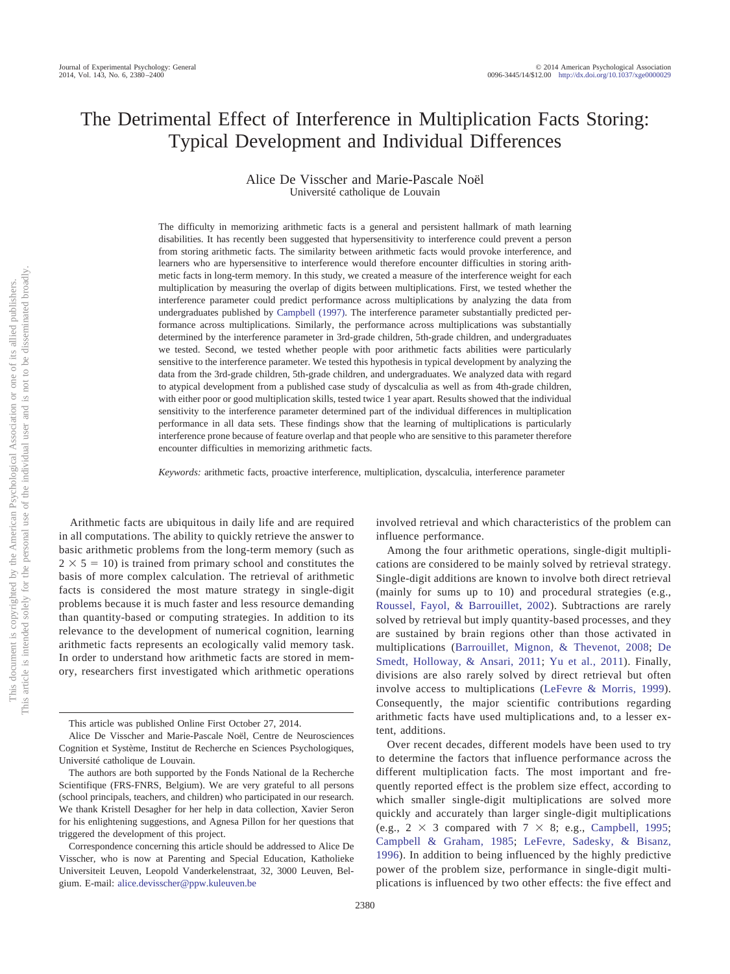# The Detrimental Effect of Interference in Multiplication Facts Storing: Typical Development and Individual Differences

Alice De Visscher and Marie-Pascale Noël Université catholique de Louvain

The difficulty in memorizing arithmetic facts is a general and persistent hallmark of math learning disabilities. It has recently been suggested that hypersensitivity to interference could prevent a person from storing arithmetic facts. The similarity between arithmetic facts would provoke interference, and learners who are hypersensitive to interference would therefore encounter difficulties in storing arithmetic facts in long-term memory. In this study, we created a measure of the interference weight for each multiplication by measuring the overlap of digits between multiplications. First, we tested whether the interference parameter could predict performance across multiplications by analyzing the data from undergraduates published by [Campbell \(1997\).](#page-15-0) The interference parameter substantially predicted performance across multiplications. Similarly, the performance across multiplications was substantially determined by the interference parameter in 3rd-grade children, 5th-grade children, and undergraduates we tested. Second, we tested whether people with poor arithmetic facts abilities were particularly sensitive to the interference parameter. We tested this hypothesis in typical development by analyzing the data from the 3rd-grade children, 5th-grade children, and undergraduates. We analyzed data with regard to atypical development from a published case study of dyscalculia as well as from 4th-grade children, with either poor or good multiplication skills, tested twice 1 year apart. Results showed that the individual sensitivity to the interference parameter determined part of the individual differences in multiplication performance in all data sets. These findings show that the learning of multiplications is particularly interference prone because of feature overlap and that people who are sensitive to this parameter therefore encounter difficulties in memorizing arithmetic facts.

*Keywords:* arithmetic facts, proactive interference, multiplication, dyscalculia, interference parameter

Arithmetic facts are ubiquitous in daily life and are required in all computations. The ability to quickly retrieve the answer to basic arithmetic problems from the long-term memory (such as  $2 \times 5 = 10$ ) is trained from primary school and constitutes the basis of more complex calculation. The retrieval of arithmetic facts is considered the most mature strategy in single-digit problems because it is much faster and less resource demanding than quantity-based or computing strategies. In addition to its relevance to the development of numerical cognition, learning arithmetic facts represents an ecologically valid memory task. In order to understand how arithmetic facts are stored in memory, researchers first investigated which arithmetic operations involved retrieval and which characteristics of the problem can influence performance.

Among the four arithmetic operations, single-digit multiplications are considered to be mainly solved by retrieval strategy. Single-digit additions are known to involve both direct retrieval (mainly for sums up to 10) and procedural strategies (e.g., [Roussel, Fayol, & Barrouillet, 2002\)](#page-16-0). Subtractions are rarely solved by retrieval but imply quantity-based processes, and they are sustained by brain regions other than those activated in multiplications [\(Barrouillet, Mignon, & Thevenot, 2008;](#page-15-1) [De](#page-15-2) [Smedt, Holloway, & Ansari, 2011;](#page-15-2) [Yu et al., 2011\)](#page-16-1). Finally, divisions are also rarely solved by direct retrieval but often involve access to multiplications [\(LeFevre & Morris, 1999\)](#page-15-3). Consequently, the major scientific contributions regarding arithmetic facts have used multiplications and, to a lesser extent, additions.

Over recent decades, different models have been used to try to determine the factors that influence performance across the different multiplication facts. The most important and frequently reported effect is the problem size effect, according to which smaller single-digit multiplications are solved more quickly and accurately than larger single-digit multiplications (e.g.,  $2 \times 3$  compared with  $7 \times 8$ ; e.g., [Campbell, 1995;](#page-15-4) [Campbell & Graham, 1985;](#page-15-5) [LeFevre, Sadesky, & Bisanz,](#page-16-2) [1996\)](#page-16-2). In addition to being influenced by the highly predictive power of the problem size, performance in single-digit multiplications is influenced by two other effects: the five effect and

This article was published Online First October 27, 2014.

Alice De Visscher and Marie-Pascale Noël, Centre de Neurosciences Cognition et Système, Institut de Recherche en Sciences Psychologiques, Université catholique de Louvain.

The authors are both supported by the Fonds National de la Recherche Scientifique (FRS-FNRS, Belgium). We are very grateful to all persons (school principals, teachers, and children) who participated in our research. We thank Kristell Desagher for her help in data collection, Xavier Seron for his enlightening suggestions, and Agnesa Pillon for her questions that triggered the development of this project.

Correspondence concerning this article should be addressed to Alice De Visscher, who is now at Parenting and Special Education, Katholieke Universiteit Leuven, Leopold Vanderkelenstraat, 32, 3000 Leuven, Belgium. E-mail: [alice.devisscher@ppw.kuleuven.be](mailto:alice.devisscher@ppw.kuleuven.be)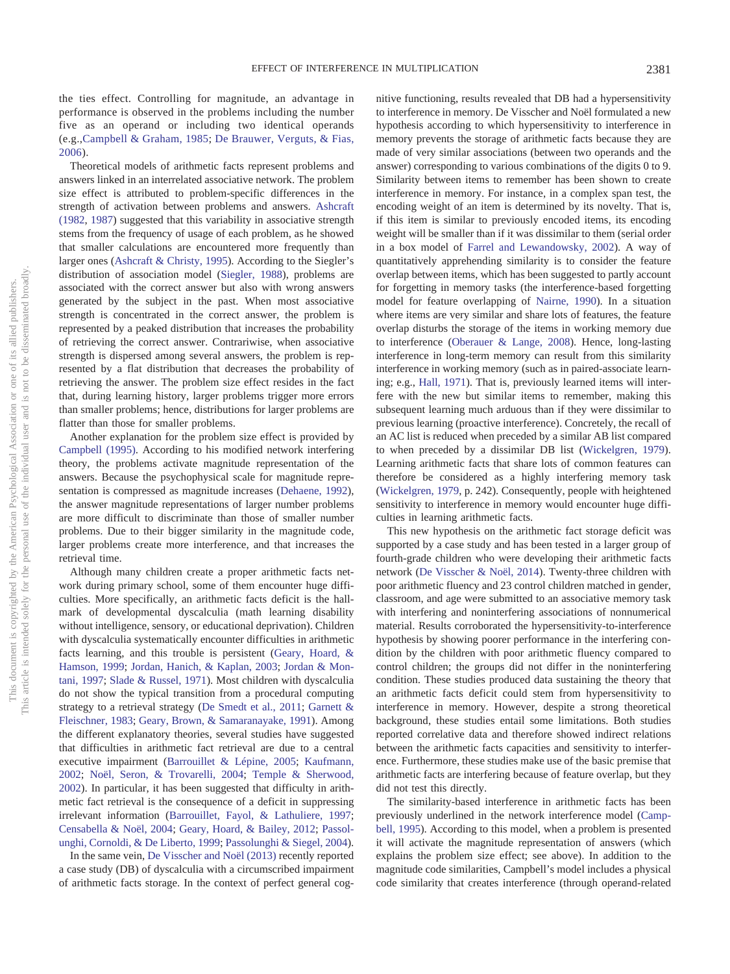the ties effect. Controlling for magnitude, an advantage in performance is observed in the problems including the number five as an operand or including two identical operands (e.g.[,Campbell & Graham, 1985;](#page-15-5) [De Brauwer, Verguts, & Fias,](#page-15-6) [2006\)](#page-15-6).

Theoretical models of arithmetic facts represent problems and answers linked in an interrelated associative network. The problem size effect is attributed to problem-specific differences in the strength of activation between problems and answers. [Ashcraft](#page-15-7) [\(1982,](#page-15-7) [1987\)](#page-15-8) suggested that this variability in associative strength stems from the frequency of usage of each problem, as he showed that smaller calculations are encountered more frequently than larger ones [\(Ashcraft & Christy, 1995\)](#page-15-9). According to the Siegler's distribution of association model [\(Siegler, 1988\)](#page-16-3), problems are associated with the correct answer but also with wrong answers generated by the subject in the past. When most associative strength is concentrated in the correct answer, the problem is represented by a peaked distribution that increases the probability of retrieving the correct answer. Contrariwise, when associative strength is dispersed among several answers, the problem is represented by a flat distribution that decreases the probability of retrieving the answer. The problem size effect resides in the fact that, during learning history, larger problems trigger more errors than smaller problems; hence, distributions for larger problems are flatter than those for smaller problems.

Another explanation for the problem size effect is provided by [Campbell \(1995\).](#page-15-4) According to his modified network interfering theory, the problems activate magnitude representation of the answers. Because the psychophysical scale for magnitude representation is compressed as magnitude increases [\(Dehaene, 1992\)](#page-15-10), the answer magnitude representations of larger number problems are more difficult to discriminate than those of smaller number problems. Due to their bigger similarity in the magnitude code, larger problems create more interference, and that increases the retrieval time.

Although many children create a proper arithmetic facts network during primary school, some of them encounter huge difficulties. More specifically, an arithmetic facts deficit is the hallmark of developmental dyscalculia (math learning disability without intelligence, sensory, or educational deprivation). Children with dyscalculia systematically encounter difficulties in arithmetic facts learning, and this trouble is persistent [\(Geary, Hoard, &](#page-15-11) [Hamson, 1999;](#page-15-11) [Jordan, Hanich, & Kaplan, 2003;](#page-15-12) [Jordan & Mon](#page-15-13)[tani, 1997;](#page-15-13) [Slade & Russel, 1971\)](#page-16-4). Most children with dyscalculia do not show the typical transition from a procedural computing strategy to a retrieval strategy [\(De Smedt et al., 2011;](#page-15-2) [Garnett &](#page-15-14) [Fleischner, 1983;](#page-15-14) [Geary, Brown, & Samaranayake, 1991\)](#page-15-15). Among the different explanatory theories, several studies have suggested that difficulties in arithmetic fact retrieval are due to a central executive impairment [\(Barrouillet & Lépine, 2005;](#page-15-16) [Kaufmann,](#page-15-17) [2002;](#page-15-17) [Noël, Seron, & Trovarelli, 2004;](#page-16-5) [Temple & Sherwood,](#page-16-6) [2002\)](#page-16-6). In particular, it has been suggested that difficulty in arithmetic fact retrieval is the consequence of a deficit in suppressing irrelevant information [\(Barrouillet, Fayol, & Lathuliere, 1997;](#page-15-18) [Censabella & Noël, 2004;](#page-15-19) [Geary, Hoard, & Bailey, 2012;](#page-15-20) [Passol](#page-16-7)[unghi, Cornoldi, & De Liberto, 1999;](#page-16-7) [Passolunghi & Siegel, 2004\)](#page-16-8).

In the same vein, [De Visscher and Noël \(2013\)](#page-15-21) recently reported a case study (DB) of dyscalculia with a circumscribed impairment of arithmetic facts storage. In the context of perfect general cognitive functioning, results revealed that DB had a hypersensitivity to interference in memory. De Visscher and Noël formulated a new hypothesis according to which hypersensitivity to interference in memory prevents the storage of arithmetic facts because they are made of very similar associations (between two operands and the answer) corresponding to various combinations of the digits 0 to 9. Similarity between items to remember has been shown to create interference in memory. For instance, in a complex span test, the encoding weight of an item is determined by its novelty. That is, if this item is similar to previously encoded items, its encoding weight will be smaller than if it was dissimilar to them (serial order in a box model of [Farrel and Lewandowsky, 2002\)](#page-15-22). A way of quantitatively apprehending similarity is to consider the feature overlap between items, which has been suggested to partly account for forgetting in memory tasks (the interference-based forgetting model for feature overlapping of [Nairne, 1990\)](#page-16-9). In a situation where items are very similar and share lots of features, the feature overlap disturbs the storage of the items in working memory due to interference [\(Oberauer & Lange, 2008\)](#page-16-10). Hence, long-lasting interference in long-term memory can result from this similarity interference in working memory (such as in paired-associate learning; e.g., [Hall, 1971\)](#page-15-23). That is, previously learned items will interfere with the new but similar items to remember, making this subsequent learning much arduous than if they were dissimilar to previous learning (proactive interference). Concretely, the recall of an AC list is reduced when preceded by a similar AB list compared to when preceded by a dissimilar DB list [\(Wickelgren, 1979\)](#page-16-11). Learning arithmetic facts that share lots of common features can therefore be considered as a highly interfering memory task [\(Wickelgren, 1979,](#page-16-11) p. 242). Consequently, people with heightened sensitivity to interference in memory would encounter huge difficulties in learning arithmetic facts.

This new hypothesis on the arithmetic fact storage deficit was supported by a case study and has been tested in a larger group of fourth-grade children who were developing their arithmetic facts network [\(De Visscher & Noël, 2014\)](#page-15-24). Twenty-three children with poor arithmetic fluency and 23 control children matched in gender, classroom, and age were submitted to an associative memory task with interfering and noninterfering associations of nonnumerical material. Results corroborated the hypersensitivity-to-interference hypothesis by showing poorer performance in the interfering condition by the children with poor arithmetic fluency compared to control children; the groups did not differ in the noninterfering condition. These studies produced data sustaining the theory that an arithmetic facts deficit could stem from hypersensitivity to interference in memory. However, despite a strong theoretical background, these studies entail some limitations. Both studies reported correlative data and therefore showed indirect relations between the arithmetic facts capacities and sensitivity to interference. Furthermore, these studies make use of the basic premise that arithmetic facts are interfering because of feature overlap, but they did not test this directly.

The similarity-based interference in arithmetic facts has been previously underlined in the network interference model [\(Camp](#page-15-4)[bell, 1995\)](#page-15-4). According to this model, when a problem is presented it will activate the magnitude representation of answers (which explains the problem size effect; see above). In addition to the magnitude code similarities, Campbell's model includes a physical code similarity that creates interference (through operand-related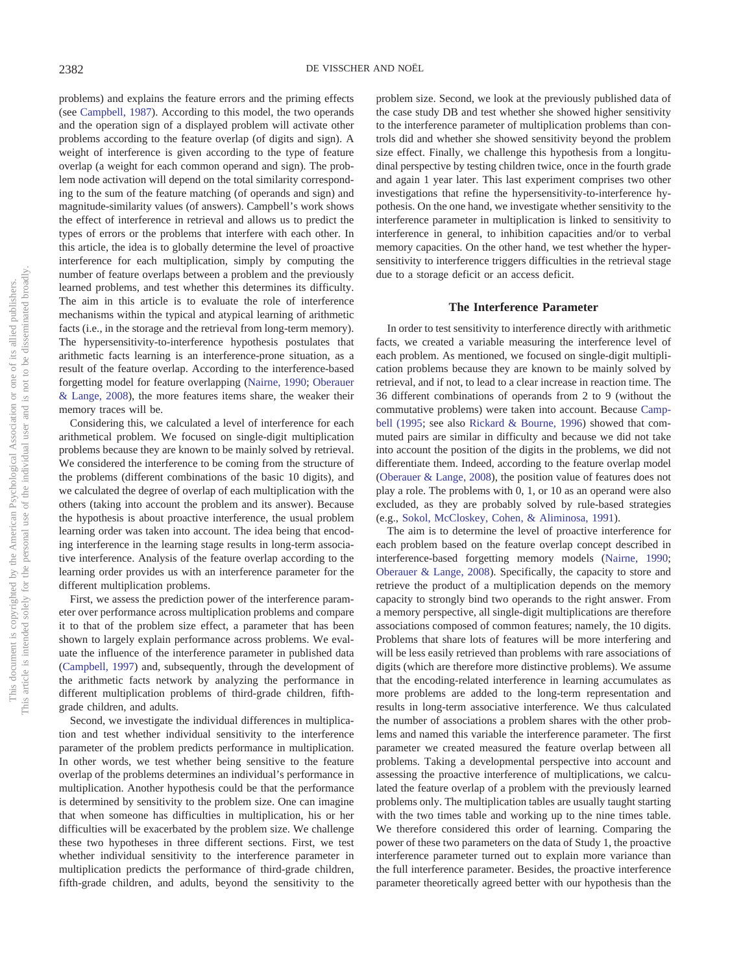problems) and explains the feature errors and the priming effects (see [Campbell, 1987\)](#page-15-25). According to this model, the two operands and the operation sign of a displayed problem will activate other problems according to the feature overlap (of digits and sign). A weight of interference is given according to the type of feature overlap (a weight for each common operand and sign). The problem node activation will depend on the total similarity corresponding to the sum of the feature matching (of operands and sign) and magnitude-similarity values (of answers). Campbell's work shows the effect of interference in retrieval and allows us to predict the types of errors or the problems that interfere with each other. In this article, the idea is to globally determine the level of proactive interference for each multiplication, simply by computing the number of feature overlaps between a problem and the previously learned problems, and test whether this determines its difficulty. The aim in this article is to evaluate the role of interference mechanisms within the typical and atypical learning of arithmetic facts (i.e., in the storage and the retrieval from long-term memory). The hypersensitivity-to-interference hypothesis postulates that arithmetic facts learning is an interference-prone situation, as a result of the feature overlap. According to the interference-based forgetting model for feature overlapping [\(Nairne, 1990;](#page-16-9) [Oberauer](#page-16-10) [& Lange, 2008\)](#page-16-10), the more features items share, the weaker their memory traces will be.

Considering this, we calculated a level of interference for each arithmetical problem. We focused on single-digit multiplication problems because they are known to be mainly solved by retrieval. We considered the interference to be coming from the structure of the problems (different combinations of the basic 10 digits), and we calculated the degree of overlap of each multiplication with the others (taking into account the problem and its answer). Because the hypothesis is about proactive interference, the usual problem learning order was taken into account. The idea being that encoding interference in the learning stage results in long-term associative interference. Analysis of the feature overlap according to the learning order provides us with an interference parameter for the different multiplication problems.

First, we assess the prediction power of the interference parameter over performance across multiplication problems and compare it to that of the problem size effect, a parameter that has been shown to largely explain performance across problems. We evaluate the influence of the interference parameter in published data [\(Campbell, 1997\)](#page-15-0) and, subsequently, through the development of the arithmetic facts network by analyzing the performance in different multiplication problems of third-grade children, fifthgrade children, and adults.

Second, we investigate the individual differences in multiplication and test whether individual sensitivity to the interference parameter of the problem predicts performance in multiplication. In other words, we test whether being sensitive to the feature overlap of the problems determines an individual's performance in multiplication. Another hypothesis could be that the performance is determined by sensitivity to the problem size. One can imagine that when someone has difficulties in multiplication, his or her difficulties will be exacerbated by the problem size. We challenge these two hypotheses in three different sections. First, we test whether individual sensitivity to the interference parameter in multiplication predicts the performance of third-grade children, fifth-grade children, and adults, beyond the sensitivity to the

problem size. Second, we look at the previously published data of the case study DB and test whether she showed higher sensitivity to the interference parameter of multiplication problems than controls did and whether she showed sensitivity beyond the problem size effect. Finally, we challenge this hypothesis from a longitudinal perspective by testing children twice, once in the fourth grade and again 1 year later. This last experiment comprises two other investigations that refine the hypersensitivity-to-interference hypothesis. On the one hand, we investigate whether sensitivity to the interference parameter in multiplication is linked to sensitivity to interference in general, to inhibition capacities and/or to verbal memory capacities. On the other hand, we test whether the hypersensitivity to interference triggers difficulties in the retrieval stage due to a storage deficit or an access deficit.

#### **The Interference Parameter**

In order to test sensitivity to interference directly with arithmetic facts, we created a variable measuring the interference level of each problem. As mentioned, we focused on single-digit multiplication problems because they are known to be mainly solved by retrieval, and if not, to lead to a clear increase in reaction time. The 36 different combinations of operands from 2 to 9 (without the commutative problems) were taken into account. Because [Camp](#page-15-4)[bell \(1995;](#page-15-4) see also [Rickard & Bourne, 1996\)](#page-16-12) showed that commuted pairs are similar in difficulty and because we did not take into account the position of the digits in the problems, we did not differentiate them. Indeed, according to the feature overlap model [\(Oberauer & Lange, 2008\)](#page-16-10), the position value of features does not play a role. The problems with 0, 1, or 10 as an operand were also excluded, as they are probably solved by rule-based strategies (e.g., [Sokol, McCloskey, Cohen, & Aliminosa, 1991\)](#page-16-13).

The aim is to determine the level of proactive interference for each problem based on the feature overlap concept described in interference-based forgetting memory models [\(Nairne, 1990;](#page-16-9) [Oberauer & Lange, 2008\)](#page-16-10). Specifically, the capacity to store and retrieve the product of a multiplication depends on the memory capacity to strongly bind two operands to the right answer. From a memory perspective, all single-digit multiplications are therefore associations composed of common features; namely, the 10 digits. Problems that share lots of features will be more interfering and will be less easily retrieved than problems with rare associations of digits (which are therefore more distinctive problems). We assume that the encoding-related interference in learning accumulates as more problems are added to the long-term representation and results in long-term associative interference. We thus calculated the number of associations a problem shares with the other problems and named this variable the interference parameter. The first parameter we created measured the feature overlap between all problems. Taking a developmental perspective into account and assessing the proactive interference of multiplications, we calculated the feature overlap of a problem with the previously learned problems only. The multiplication tables are usually taught starting with the two times table and working up to the nine times table. We therefore considered this order of learning. Comparing the power of these two parameters on the data of Study 1, the proactive interference parameter turned out to explain more variance than the full interference parameter. Besides, the proactive interference parameter theoretically agreed better with our hypothesis than the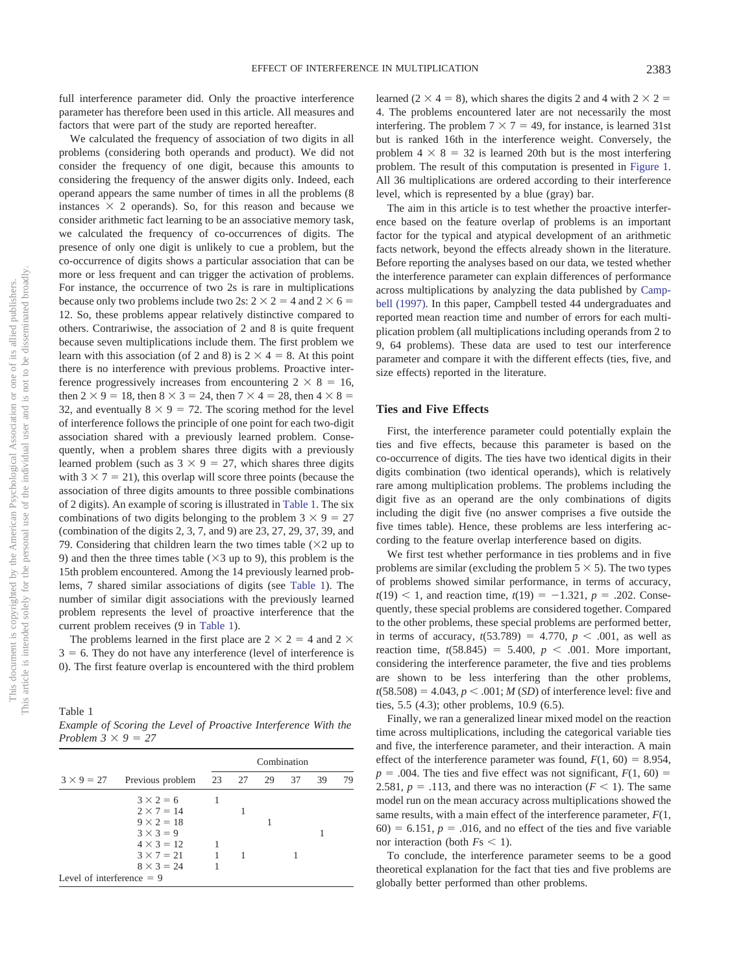full interference parameter did. Only the proactive interference parameter has therefore been used in this article. All measures and factors that were part of the study are reported hereafter.

We calculated the frequency of association of two digits in all problems (considering both operands and product). We did not consider the frequency of one digit, because this amounts to considering the frequency of the answer digits only. Indeed, each operand appears the same number of times in all the problems (8 instances  $\times$  2 operands). So, for this reason and because we consider arithmetic fact learning to be an associative memory task, we calculated the frequency of co-occurrences of digits. The presence of only one digit is unlikely to cue a problem, but the co-occurrence of digits shows a particular association that can be more or less frequent and can trigger the activation of problems. For instance, the occurrence of two 2s is rare in multiplications because only two problems include two 2s:  $2 \times 2 = 4$  and  $2 \times 6 =$ 12. So, these problems appear relatively distinctive compared to others. Contrariwise, the association of 2 and 8 is quite frequent because seven multiplications include them. The first problem we learn with this association (of 2 and 8) is  $2 \times 4 = 8$ . At this point there is no interference with previous problems. Proactive interference progressively increases from encountering  $2 \times 8 = 16$ , then  $2 \times 9 = 18$ , then  $8 \times 3 = 24$ , then  $7 \times 4 = 28$ , then  $4 \times 8 = 18$ 32, and eventually  $8 \times 9 = 72$ . The scoring method for the level of interference follows the principle of one point for each two-digit association shared with a previously learned problem. Consequently, when a problem shares three digits with a previously learned problem (such as  $3 \times 9 = 27$ , which shares three digits with  $3 \times 7 = 21$ ), this overlap will score three points (because the association of three digits amounts to three possible combinations of 2 digits). An example of scoring is illustrated in [Table 1.](#page-3-0) The six combinations of two digits belonging to the problem  $3 \times 9 = 27$ (combination of the digits 2, 3, 7, and 9) are 23, 27, 29, 37, 39, and 79. Considering that children learn the two times table  $(\times 2$  up to 9) and then the three times table  $(\times 3$  up to 9), this problem is the 15th problem encountered. Among the 14 previously learned problems, 7 shared similar associations of digits (see [Table 1\)](#page-3-0). The number of similar digit associations with the previously learned problem represents the level of proactive interference that the current problem receives (9 in [Table 1\)](#page-3-0).

The problems learned in the first place are  $2 \times 2 = 4$  and  $2 \times$  $3 = 6$ . They do not have any interference (level of interference is 0). The first feature overlap is encountered with the third problem

<span id="page-3-0"></span>Table 1 *Example of Scoring the Level of Proactive Interference With the Problem*  $3 \times 9 = 27$ 

|                             |                   | Combination |  |  |       |    |    |
|-----------------------------|-------------------|-------------|--|--|-------|----|----|
| $3 \times 9 = 27$           | Previous problem  | 23 27       |  |  | 29 37 | 39 | 79 |
|                             | $3 \times 2 = 6$  |             |  |  |       |    |    |
|                             | $2 \times 7 = 14$ |             |  |  |       |    |    |
|                             | $9 \times 2 = 18$ |             |  |  |       |    |    |
|                             | $3 \times 3 = 9$  |             |  |  |       |    |    |
|                             | $4 \times 3 = 12$ |             |  |  |       |    |    |
|                             | $3 \times 7 = 21$ | 1           |  |  |       |    |    |
|                             | $8 \times 3 = 24$ |             |  |  |       |    |    |
| Level of interference $= 9$ |                   |             |  |  |       |    |    |

learned ( $2 \times 4 = 8$ ), which shares the digits 2 and 4 with  $2 \times 2 =$ 4. The problems encountered later are not necessarily the most interfering. The problem  $7 \times 7 = 49$ , for instance, is learned 31st but is ranked 16th in the interference weight. Conversely, the problem  $4 \times 8 = 32$  is learned 20th but is the most interfering problem. The result of this computation is presented in [Figure 1.](#page-4-0) All 36 multiplications are ordered according to their interference level, which is represented by a blue (gray) bar.

The aim in this article is to test whether the proactive interference based on the feature overlap of problems is an important factor for the typical and atypical development of an arithmetic facts network, beyond the effects already shown in the literature. Before reporting the analyses based on our data, we tested whether the interference parameter can explain differences of performance across multiplications by analyzing the data published by [Camp](#page-15-0)[bell \(1997\).](#page-15-0) In this paper, Campbell tested 44 undergraduates and reported mean reaction time and number of errors for each multiplication problem (all multiplications including operands from 2 to 9, 64 problems). These data are used to test our interference parameter and compare it with the different effects (ties, five, and size effects) reported in the literature.

#### **Ties and Five Effects**

First, the interference parameter could potentially explain the ties and five effects, because this parameter is based on the co-occurrence of digits. The ties have two identical digits in their digits combination (two identical operands), which is relatively rare among multiplication problems. The problems including the digit five as an operand are the only combinations of digits including the digit five (no answer comprises a five outside the five times table). Hence, these problems are less interfering according to the feature overlap interference based on digits.

We first test whether performance in ties problems and in five problems are similar (excluding the problem  $5 \times 5$ ). The two types of problems showed similar performance, in terms of accuracy,  $t(19)$  < 1, and reaction time,  $t(19) = -1.321$ ,  $p = .202$ . Consequently, these special problems are considered together. Compared to the other problems, these special problems are performed better, in terms of accuracy,  $t(53.789) = 4.770$ ,  $p < .001$ , as well as reaction time,  $t(58.845) = 5.400, p < .001$ . More important, considering the interference parameter, the five and ties problems are shown to be less interfering than the other problems,  $t(58.508) = 4.043$ ,  $p < .001$ ; *M (SD)* of interference level: five and ties, 5.5 (4.3); other problems, 10.9 (6.5).

Finally, we ran a generalized linear mixed model on the reaction time across multiplications, including the categorical variable ties and five, the interference parameter, and their interaction. A main effect of the interference parameter was found,  $F(1, 60) = 8.954$ ,  $p = .004$ . The ties and five effect was not significant,  $F(1, 60) =$ 2.581,  $p = .113$ , and there was no interaction ( $F < 1$ ). The same model run on the mean accuracy across multiplications showed the same results, with a main effect of the interference parameter, *F*(1,  $60$ ) = 6.151,  $p = .016$ , and no effect of the ties and five variable nor interaction (both  $Fs < 1$ ).

To conclude, the interference parameter seems to be a good theoretical explanation for the fact that ties and five problems are globally better performed than other problems.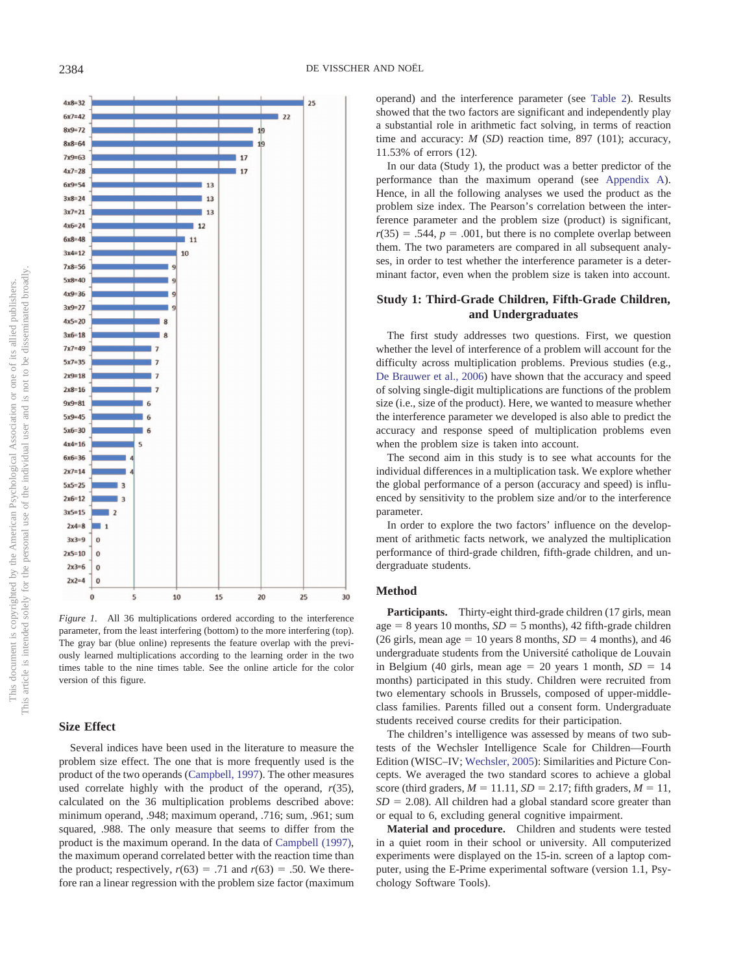

<span id="page-4-0"></span>*Figure 1.* All 36 multiplications ordered according to the interference parameter, from the least interfering (bottom) to the more interfering (top). The gray bar (blue online) represents the feature overlap with the previously learned multiplications according to the learning order in the two times table to the nine times table. See the online article for the color version of this figure.

#### **Size Effect**

Several indices have been used in the literature to measure the problem size effect. The one that is more frequently used is the product of the two operands [\(Campbell, 1997\)](#page-15-0). The other measures used correlate highly with the product of the operand, *r*(35), calculated on the 36 multiplication problems described above: minimum operand, .948; maximum operand, .716; sum, .961; sum squared, .988. The only measure that seems to differ from the product is the maximum operand. In the data of [Campbell \(1997\),](#page-15-0) the maximum operand correlated better with the reaction time than the product; respectively,  $r(63) = .71$  and  $r(63) = .50$ . We therefore ran a linear regression with the problem size factor (maximum operand) and the interference parameter (see [Table 2\)](#page-5-0). Results showed that the two factors are significant and independently play a substantial role in arithmetic fact solving, in terms of reaction time and accuracy: *M* (*SD*) reaction time, 897 (101); accuracy, 11.53% of errors (12).

In our data (Study 1), the product was a better predictor of the performance than the maximum operand (see [Appendix A\)](#page-16-14). Hence, in all the following analyses we used the product as the problem size index. The Pearson's correlation between the interference parameter and the problem size (product) is significant,  $r(35) = .544$ ,  $p = .001$ , but there is no complete overlap between them. The two parameters are compared in all subsequent analyses, in order to test whether the interference parameter is a determinant factor, even when the problem size is taken into account.

### **Study 1: Third-Grade Children, Fifth-Grade Children, and Undergraduates**

The first study addresses two questions. First, we question whether the level of interference of a problem will account for the difficulty across multiplication problems. Previous studies (e.g., [De Brauwer et al., 2006\)](#page-15-6) have shown that the accuracy and speed of solving single-digit multiplications are functions of the problem size (i.e., size of the product). Here, we wanted to measure whether the interference parameter we developed is also able to predict the accuracy and response speed of multiplication problems even when the problem size is taken into account.

The second aim in this study is to see what accounts for the individual differences in a multiplication task. We explore whether the global performance of a person (accuracy and speed) is influenced by sensitivity to the problem size and/or to the interference parameter.

In order to explore the two factors' influence on the development of arithmetic facts network, we analyzed the multiplication performance of third-grade children, fifth-grade children, and undergraduate students.

#### **Method**

Participants. Thirty-eight third-grade children (17 girls, mean age  $= 8$  years 10 months,  $SD = 5$  months), 42 fifth-grade children (26 girls, mean age  $= 10$  years 8 months,  $SD = 4$  months), and 46 undergraduate students from the Université catholique de Louvain in Belgium (40 girls, mean age  $= 20$  years 1 month,  $SD = 14$ months) participated in this study. Children were recruited from two elementary schools in Brussels, composed of upper-middleclass families. Parents filled out a consent form. Undergraduate students received course credits for their participation.

The children's intelligence was assessed by means of two subtests of the Wechsler Intelligence Scale for Children—Fourth Edition (WISC–IV; [Wechsler, 2005\)](#page-16-15): Similarities and Picture Concepts. We averaged the two standard scores to achieve a global score (third graders,  $M = 11.11$ ,  $SD = 2.17$ ; fifth graders,  $M = 11$ ,  $SD = 2.08$ ). All children had a global standard score greater than or equal to 6, excluding general cognitive impairment.

**Material and procedure.** Children and students were tested in a quiet room in their school or university. All computerized experiments were displayed on the 15-in. screen of a laptop computer, using the E-Prime experimental software (version 1.1, Psychology Software Tools).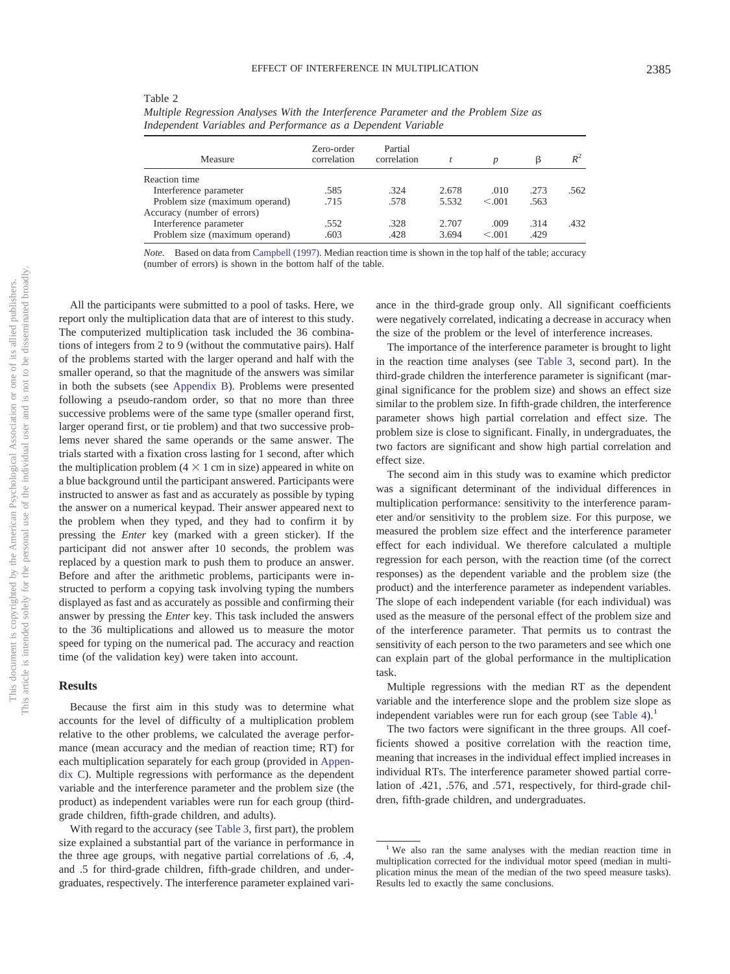| b<br>ì<br>ł<br>j<br>Ś<br>ł<br>į<br>j<br>į<br>i      | î<br>C)<br>Ĵ<br>ĵ<br>ï<br>ļ<br>Í<br>j<br>j<br>j<br>į<br>l<br>ì |
|-----------------------------------------------------|----------------------------------------------------------------|
|                                                     | ţ                                                              |
| ١                                                   |                                                                |
| $\overline{\phantom{a}}$<br>ł<br>j<br>ļ<br>ì<br>r i | i<br>d<br>š<br>U                                               |
|                                                     | k<br>t<br>₿                                                    |
| C<br>C<br>j<br>Ï<br>)<br>ł<br>١                     | ١<br>j<br>ì<br>d                                               |
| ١                                                   | ł<br>č                                                         |
|                                                     | ï                                                              |
| COU<br>ä<br>i<br>¢<br>Ē<br>$\ln$                    | use<br>Ó<br>ercons                                             |
| ì<br>ś<br>١                                         | ł<br>the                                                       |
| ¢<br>j<br>i<br>Ì<br>ś<br>ł<br>j<br>١                | ï<br>Í,<br>í<br>ł<br>j                                         |
| į<br><b>CONTRACTOR</b><br>ï<br>í<br>⊃               | i<br>ï<br>ï<br>j<br>١                                          |
| i<br>ï<br>j<br>1<br>Ľ                               | ł<br>i<br>ī<br>j                                               |
| 3<br>ł<br>Ē<br>í                                    | j<br>ţ<br>ā<br>ׇ֠                                              |

<span id="page-5-0"></span>

| - - - - - - - - - -                                                                  |
|--------------------------------------------------------------------------------------|
| Multiple Regression Analyses With the Interference Parameter and the Problem Size as |
| Independent Variables and Performance as a Dependent Variable                        |

| Measure                        | Zero-order<br>correlation | Partial<br>correlation |       |         |      | $R^2$ |
|--------------------------------|---------------------------|------------------------|-------|---------|------|-------|
| Reaction time                  |                           |                        |       |         |      |       |
| Interference parameter         | .585                      | .324                   | 2.678 | .010    | .273 | .562  |
| Problem size (maximum operand) | .715                      | .578                   | 5.532 | < 0.01  | .563 |       |
| Accuracy (number of errors)    |                           |                        |       |         |      |       |
| Interference parameter         | .552                      | .328                   | 2.707 | .009    | .314 | .432  |
| Problem size (maximum operand) | .603                      | .428                   | 3.694 | < 0.001 | .429 |       |

*Note.* Based on data from [Campbell \(1997\).](#page-15-0) Median reaction time is shown in the top half of the table; accuracy (number of errors) is shown in the bottom half of the table.

All the participants were submitted to a pool of tasks. Here, we report only the multiplication data that are of interest to this study. The computerized multiplication task included the 36 combinations of integers from 2 to 9 (without the commutative pairs). Half of the problems started with the larger operand and half with the smaller operand, so that the magnitude of the answers was similar in both the subsets (see [Appendix B\)](#page-17-0). Problems were presented following a pseudo-random order, so that no more than three successive problems were of the same type (smaller operand first, larger operand first, or tie problem) and that two successive problems never shared the same operands or the same answer. The trials started with a fixation cross lasting for 1 second, after which the multiplication problem  $(4 \times 1$  cm in size) appeared in white on a blue background until the participant answered. Participants were instructed to answer as fast and as accurately as possible by typing the answer on a numerical keypad. Their answer appeared next to the problem when they typed, and they had to confirm it by pressing the *Enter* key (marked with a green sticker). If the participant did not answer after 10 seconds, the problem was replaced by a question mark to push them to produce an answer. Before and after the arithmetic problems, participants were instructed to perform a copying task involving typing the numbers displayed as fast and as accurately as possible and confirming their answer by pressing the *Enter* key. This task included the answers to the 36 multiplications and allowed us to measure the motor speed for typing on the numerical pad. The accuracy and reaction time (of the validation key) were taken into account.

Table 2

### **Results**

Because the first aim in this study was to determine what accounts for the level of difficulty of a multiplication problem relative to the other problems, we calculated the average performance (mean accuracy and the median of reaction time; RT) for each multiplication separately for each group (provided in [Appen](#page-17-1)[dix C\)](#page-17-1). Multiple regressions with performance as the dependent variable and the interference parameter and the problem size (the product) as independent variables were run for each group (thirdgrade children, fifth-grade children, and adults).

With regard to the accuracy (see [Table 3,](#page-6-0) first part), the problem size explained a substantial part of the variance in performance in the three age groups, with negative partial correlations of .6, .4, and .5 for third-grade children, fifth-grade children, and undergraduates, respectively. The interference parameter explained vari-

ance in the third-grade group only. All significant coefficients were negatively correlated, indicating a decrease in accuracy when the size of the problem or the level of interference increases.

The importance of the interference parameter is brought to light in the reaction time analyses (see [Table 3,](#page-6-0) second part). In the third-grade children the interference parameter is significant (marginal significance for the problem size) and shows an effect size similar to the problem size. In fifth-grade children, the interference parameter shows high partial correlation and effect size. The problem size is close to significant. Finally, in undergraduates, the two factors are significant and show high partial correlation and effect size.

The second aim in this study was to examine which predictor was a significant determinant of the individual differences in multiplication performance: sensitivity to the interference parameter and/or sensitivity to the problem size. For this purpose, we measured the problem size effect and the interference parameter effect for each individual. We therefore calculated a multiple regression for each person, with the reaction time (of the correct responses) as the dependent variable and the problem size (the product) and the interference parameter as independent variables. The slope of each independent variable (for each individual) was used as the measure of the personal effect of the problem size and of the interference parameter. That permits us to contrast the sensitivity of each person to the two parameters and see which one can explain part of the global performance in the multiplication task.

Multiple regressions with the median RT as the dependent variable and the interference slope and the problem size slope as independent variables were run for each group (see Table  $4$ ).<sup>1</sup>

The two factors were significant in the three groups. All coefficients showed a positive correlation with the reaction time, meaning that increases in the individual effect implied increases in individual RTs. The interference parameter showed partial correlation of .421, .576, and .571, respectively, for third-grade children, fifth-grade children, and undergraduates.

<sup>&</sup>lt;sup>1</sup> We also ran the same analyses with the median reaction time in multiplication corrected for the individual motor speed (median in multiplication minus the mean of the median of the two speed measure tasks). Results led to exactly the same conclusions.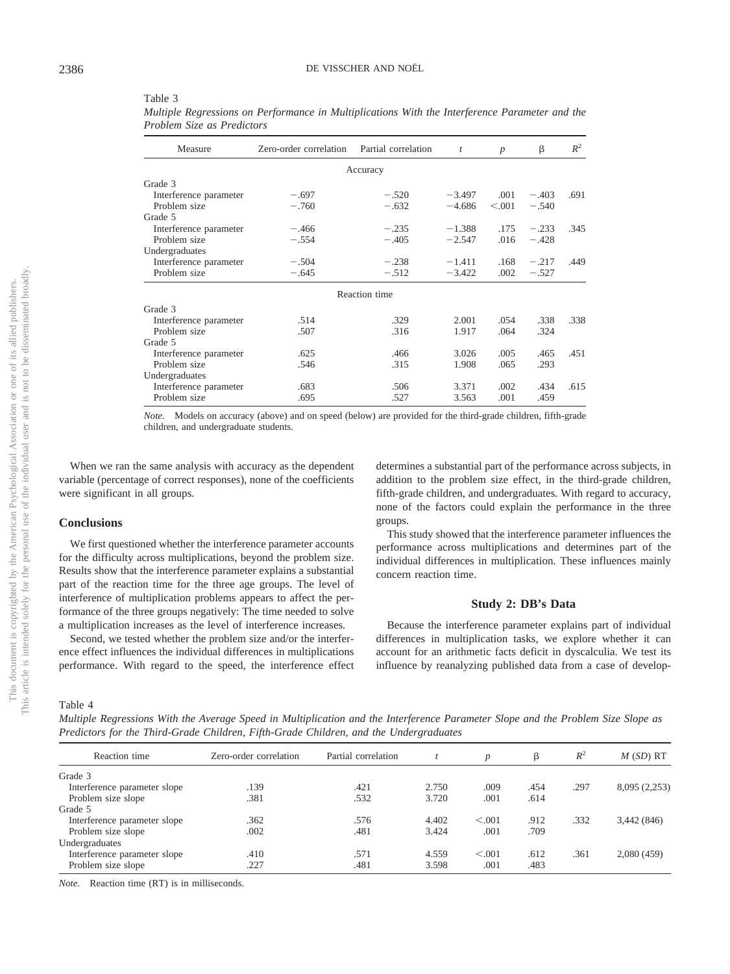| Measure                | Zero-order correlation | Partial correlation | $\boldsymbol{t}$ | $\boldsymbol{p}$ | β       | $R^2$ |
|------------------------|------------------------|---------------------|------------------|------------------|---------|-------|
|                        |                        | Accuracy            |                  |                  |         |       |
| Grade 3                |                        |                     |                  |                  |         |       |
| Interference parameter | $-.697$                | $-.520$             | $-3.497$         | .001             | $-.403$ | .691  |
| Problem size           | $-.760$                | $-.632$             | $-4.686$         | < 0.001          | $-.540$ |       |
| Grade 5                |                        |                     |                  |                  |         |       |
| Interference parameter | $-.466$                | $-.235$             | $-1.388$         | .175             | $-.233$ | .345  |
| Problem size           | $-.554$                | $-.405$             | $-2.547$         | .016             | $-.428$ |       |
| Undergraduates         |                        |                     |                  |                  |         |       |
| Interference parameter | $-.504$                | $-.238$             | $-1.411$         | .168             | $-.217$ | .449  |
| Problem size           | $-.645$                | $-.512$             | $-3.422$         | .002             | $-.527$ |       |
|                        |                        | Reaction time       |                  |                  |         |       |
| Grade 3                |                        |                     |                  |                  |         |       |
| Interference parameter | .514                   | .329                | 2.001            | .054             | .338    | .338  |
| Problem size           | .507                   | .316                | 1.917            | .064             | .324    |       |
| Grade 5                |                        |                     |                  |                  |         |       |
| Interference parameter | .625                   | .466                | 3.026            | .005             | .465    | .451  |
| Problem size           | .546                   | .315                | 1.908            | .065             | .293    |       |
| Undergraduates         |                        |                     |                  |                  |         |       |
| Interference parameter | .683                   | .506                | 3.371            | .002             | .434    | .615  |
| Problem size           | .695                   | .527                | 3.563            | .001             | .459    |       |

<span id="page-6-0"></span>Table 3 *Multiple Regressions on Performance in Multiplications With the Interference Parameter and the Problem Size as Predictors*

*Note.* Models on accuracy (above) and on speed (below) are provided for the third-grade children, fifth-grade children, and undergraduate students.

When we ran the same analysis with accuracy as the dependent variable (percentage of correct responses), none of the coefficients were significant in all groups.

#### **Conclusions**

We first questioned whether the interference parameter accounts for the difficulty across multiplications, beyond the problem size. Results show that the interference parameter explains a substantial part of the reaction time for the three age groups. The level of interference of multiplication problems appears to affect the performance of the three groups negatively: The time needed to solve a multiplication increases as the level of interference increases.

Second, we tested whether the problem size and/or the interference effect influences the individual differences in multiplications performance. With regard to the speed, the interference effect determines a substantial part of the performance across subjects, in addition to the problem size effect, in the third-grade children, fifth-grade children, and undergraduates. With regard to accuracy, none of the factors could explain the performance in the three groups.

This study showed that the interference parameter influences the performance across multiplications and determines part of the individual differences in multiplication. These influences mainly concern reaction time.

#### **Study 2: DB's Data**

Because the interference parameter explains part of individual differences in multiplication tasks, we explore whether it can account for an arithmetic facts deficit in dyscalculia. We test its influence by reanalyzing published data from a case of develop-

<span id="page-6-1"></span>Table 4

*Multiple Regressions With the Average Speed in Multiplication and the Interference Parameter Slope and the Problem Size Slope as Predictors for the Third-Grade Children, Fifth-Grade Children, and the Undergraduates*

| Reaction time                | Zero-order correlation | Partial correlation |       | $\boldsymbol{p}$ | β    | $R^2$ | $M(SD)$ RT    |
|------------------------------|------------------------|---------------------|-------|------------------|------|-------|---------------|
| Grade 3                      |                        |                     |       |                  |      |       |               |
| Interference parameter slope | .139                   | .421                | 2.750 | .009             | .454 | .297  | 8,095 (2,253) |
| Problem size slope           | .381                   | .532                | 3.720 | .001             | .614 |       |               |
| Grade 5                      |                        |                     |       |                  |      |       |               |
| Interference parameter slope | .362                   | .576                | 4.402 | < 0.01           | .912 | .332  | 3,442 (846)   |
| Problem size slope           | .002                   | .481                | 3.424 | .001             | .709 |       |               |
| Undergraduates               |                        |                     |       |                  |      |       |               |
| Interference parameter slope | .410                   | .571                | 4.559 | < 0.001          | .612 | .361  | 2,080(459)    |
| Problem size slope           | .227                   | .481                | 3.598 | .001             | .483 |       |               |

*Note.* Reaction time (RT) is in milliseconds.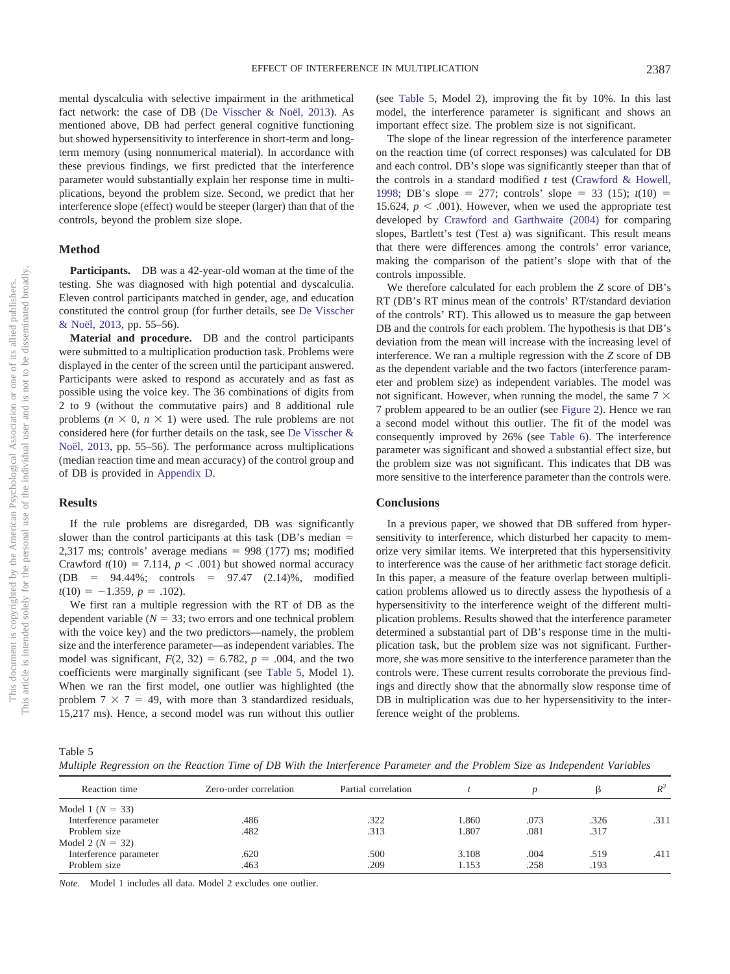mental dyscalculia with selective impairment in the arithmetical fact network: the case of DB [\(De Visscher & Noël, 2013\)](#page-15-21). As mentioned above, DB had perfect general cognitive functioning but showed hypersensitivity to interference in short-term and longterm memory (using nonnumerical material). In accordance with these previous findings, we first predicted that the interference parameter would substantially explain her response time in multi-

plications, beyond the problem size. Second, we predict that her interference slope (effect) would be steeper (larger) than that of the controls, beyond the problem size slope.

### **Method**

**Participants.** DB was a 42-year-old woman at the time of the testing. She was diagnosed with high potential and dyscalculia. Eleven control participants matched in gender, age, and education constituted the control group (for further details, see [De Visscher](#page-15-21) [& Noël, 2013,](#page-15-21) pp. 55–56).

**Material and procedure.** DB and the control participants were submitted to a multiplication production task. Problems were displayed in the center of the screen until the participant answered. Participants were asked to respond as accurately and as fast as possible using the voice key. The 36 combinations of digits from 2 to 9 (without the commutative pairs) and 8 additional rule problems ( $n \times 0$ ,  $n \times 1$ ) were used. The rule problems are not considered here (for further details on the task, see [De Visscher &](#page-15-21) [Noël, 2013,](#page-15-21) pp. 55–56). The performance across multiplications (median reaction time and mean accuracy) of the control group and of DB is provided in [Appendix D.](#page-18-0)

#### **Results**

If the rule problems are disregarded, DB was significantly slower than the control participants at this task (DB's median = 2,317 ms; controls' average medians  $= 998$  (177) ms; modified Crawford  $t(10) = 7.114$ ,  $p < .001$ ) but showed normal accuracy  $(DB = 94.44\%;$  controls = 97.47  $(2.14)\%$ , modified  $t(10) = -1.359, p = .102$ .

We first ran a multiple regression with the RT of DB as the dependent variable  $(N = 33)$ ; two errors and one technical problem with the voice key) and the two predictors—namely, the problem size and the interference parameter—as independent variables. The model was significant,  $F(2, 32) = 6.782$ ,  $p = .004$ , and the two coefficients were marginally significant (see [Table 5,](#page-7-0) Model 1). When we ran the first model, one outlier was highlighted (the problem  $7 \times 7 = 49$ , with more than 3 standardized residuals, 15,217 ms). Hence, a second model was run without this outlier (see [Table 5,](#page-7-0) Model 2), improving the fit by 10%. In this last model, the interference parameter is significant and shows an important effect size. The problem size is not significant.

The slope of the linear regression of the interference parameter on the reaction time (of correct responses) was calculated for DB and each control. DB's slope was significantly steeper than that of the controls in a standard modified *t* test [\(Crawford & Howell,](#page-15-26) [1998;](#page-15-26) DB's slope = 277; controls' slope = 33 (15);  $t(10)$  = 15.624,  $p < .001$ ). However, when we used the appropriate test developed by [Crawford and Garthwaite \(2004\)](#page-15-27) for comparing slopes, Bartlett's test (Test a) was significant. This result means that there were differences among the controls' error variance, making the comparison of the patient's slope with that of the controls impossible.

We therefore calculated for each problem the *Z* score of DB's RT (DB's RT minus mean of the controls' RT/standard deviation of the controls' RT). This allowed us to measure the gap between DB and the controls for each problem. The hypothesis is that DB's deviation from the mean will increase with the increasing level of interference. We ran a multiple regression with the *Z* score of DB as the dependent variable and the two factors (interference parameter and problem size) as independent variables. The model was not significant. However, when running the model, the same  $7 \times$ 7 problem appeared to be an outlier (see [Figure 2\)](#page-8-0). Hence we ran a second model without this outlier. The fit of the model was consequently improved by 26% (see [Table 6\)](#page-8-1). The interference parameter was significant and showed a substantial effect size, but the problem size was not significant. This indicates that DB was more sensitive to the interference parameter than the controls were.

#### **Conclusions**

In a previous paper, we showed that DB suffered from hypersensitivity to interference, which disturbed her capacity to memorize very similar items. We interpreted that this hypersensitivity to interference was the cause of her arithmetic fact storage deficit. In this paper, a measure of the feature overlap between multiplication problems allowed us to directly assess the hypothesis of a hypersensitivity to the interference weight of the different multiplication problems. Results showed that the interference parameter determined a substantial part of DB's response time in the multiplication task, but the problem size was not significant. Furthermore, she was more sensitive to the interference parameter than the controls were. These current results corroborate the previous findings and directly show that the abnormally slow response time of DB in multiplication was due to her hypersensitivity to the interference weight of the problems.

<span id="page-7-0"></span>

|  |  |  |  |  |  |  |  |  |  |  |  |  | Multiple Regression on the Reaction Time of DB With the Interference Parameter and the Problem Size as Independent Variables |  |
|--|--|--|--|--|--|--|--|--|--|--|--|--|------------------------------------------------------------------------------------------------------------------------------|--|
|--|--|--|--|--|--|--|--|--|--|--|--|--|------------------------------------------------------------------------------------------------------------------------------|--|

| Reaction time          | Zero-order correlation | Partial correlation |       |      |      | $R^2$ |
|------------------------|------------------------|---------------------|-------|------|------|-------|
| Model 1 ( $N = 33$ )   |                        |                     |       |      |      |       |
| Interference parameter | .486                   | .322                | 1.860 | .073 | .326 | .311  |
| Problem size           | .482                   | .313                | 1.807 | .081 | .317 |       |
| Model 2 ( $N = 32$ )   |                        |                     |       |      |      |       |
| Interference parameter | .620                   | .500                | 3.108 | .004 | .519 | .411  |
| Problem size           | .463                   | .209                | 1.153 | .258 | .193 |       |

*Note.* Model 1 includes all data. Model 2 excludes one outlier.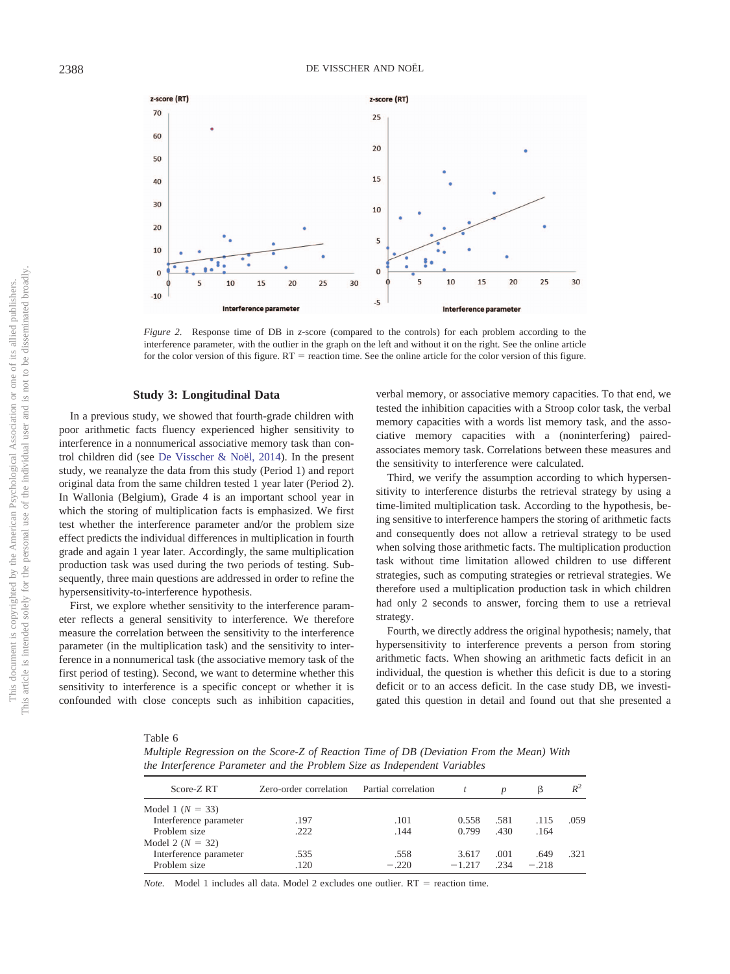

<span id="page-8-0"></span>*Figure 2.* Response time of DB in *z*-score (compared to the controls) for each problem according to the interference parameter, with the outlier in the graph on the left and without it on the right. See the online article for the color version of this figure.  $RT =$  reaction time. See the online article for the color version of this figure.

#### **Study 3: Longitudinal Data**

In a previous study, we showed that fourth-grade children with poor arithmetic facts fluency experienced higher sensitivity to interference in a nonnumerical associative memory task than control children did (see [De Visscher & Noël, 2014\)](#page-15-24). In the present study, we reanalyze the data from this study (Period 1) and report original data from the same children tested 1 year later (Period 2). In Wallonia (Belgium), Grade 4 is an important school year in which the storing of multiplication facts is emphasized. We first test whether the interference parameter and/or the problem size effect predicts the individual differences in multiplication in fourth grade and again 1 year later. Accordingly, the same multiplication production task was used during the two periods of testing. Subsequently, three main questions are addressed in order to refine the hypersensitivity-to-interference hypothesis.

First, we explore whether sensitivity to the interference parameter reflects a general sensitivity to interference. We therefore measure the correlation between the sensitivity to the interference parameter (in the multiplication task) and the sensitivity to interference in a nonnumerical task (the associative memory task of the first period of testing). Second, we want to determine whether this sensitivity to interference is a specific concept or whether it is confounded with close concepts such as inhibition capacities,

verbal memory, or associative memory capacities. To that end, we tested the inhibition capacities with a Stroop color task, the verbal memory capacities with a words list memory task, and the associative memory capacities with a (noninterfering) pairedassociates memory task. Correlations between these measures and the sensitivity to interference were calculated.

Third, we verify the assumption according to which hypersensitivity to interference disturbs the retrieval strategy by using a time-limited multiplication task. According to the hypothesis, being sensitive to interference hampers the storing of arithmetic facts and consequently does not allow a retrieval strategy to be used when solving those arithmetic facts. The multiplication production task without time limitation allowed children to use different strategies, such as computing strategies or retrieval strategies. We therefore used a multiplication production task in which children had only 2 seconds to answer, forcing them to use a retrieval strategy.

Fourth, we directly address the original hypothesis; namely, that hypersensitivity to interference prevents a person from storing arithmetic facts. When showing an arithmetic facts deficit in an individual, the question is whether this deficit is due to a storing deficit or to an access deficit. In the case study DB, we investigated this question in detail and found out that she presented a

<span id="page-8-1"></span>

| L |  |
|---|--|
|---|--|

*Multiple Regression on the Score-Z of Reaction Time of DB (Deviation From the Mean) With the Interference Parameter and the Problem Size as Independent Variables*

| Score-Z RT             | Zero-order correlation Partial correlation |         |          |      |         | $R^2$ |
|------------------------|--------------------------------------------|---------|----------|------|---------|-------|
| Model 1 ( $N = 33$ )   |                                            |         |          |      |         |       |
| Interference parameter | .197                                       | .101    | 0.558    | .581 | .115    | .059  |
| Problem size           | .222                                       | .144    | 0.799    | .430 | .164    |       |
| Model 2 ( $N = 32$ )   |                                            |         |          |      |         |       |
| Interference parameter | .535                                       | .558    | 3.617    | .001 | .649    | -32.1 |
| Problem size           | .120                                       | $-.220$ | $-1.217$ | -234 | $-.218$ |       |

*Note.* Model 1 includes all data. Model 2 excludes one outlier.  $RT =$  reaction time.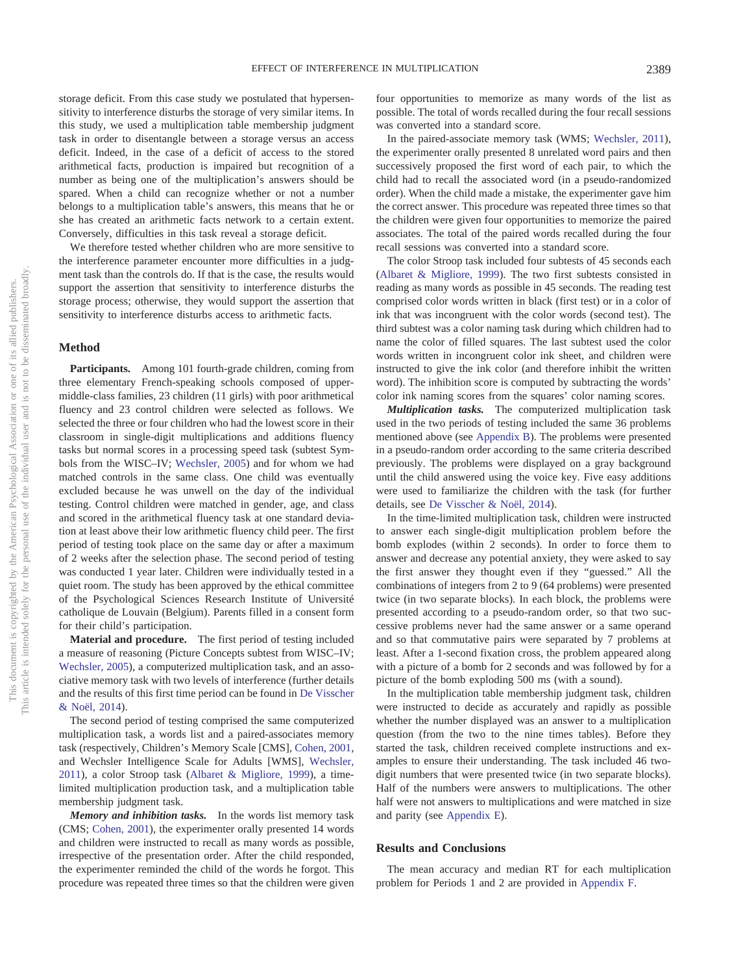storage deficit. From this case study we postulated that hypersensitivity to interference disturbs the storage of very similar items. In this study, we used a multiplication table membership judgment task in order to disentangle between a storage versus an access deficit. Indeed, in the case of a deficit of access to the stored arithmetical facts, production is impaired but recognition of a number as being one of the multiplication's answers should be spared. When a child can recognize whether or not a number belongs to a multiplication table's answers, this means that he or she has created an arithmetic facts network to a certain extent. Conversely, difficulties in this task reveal a storage deficit.

We therefore tested whether children who are more sensitive to the interference parameter encounter more difficulties in a judgment task than the controls do. If that is the case, the results would support the assertion that sensitivity to interference disturbs the storage process; otherwise, they would support the assertion that sensitivity to interference disturbs access to arithmetic facts.

### **Method**

**Participants.** Among 101 fourth-grade children, coming from three elementary French-speaking schools composed of uppermiddle-class families, 23 children (11 girls) with poor arithmetical fluency and 23 control children were selected as follows. We selected the three or four children who had the lowest score in their classroom in single-digit multiplications and additions fluency tasks but normal scores in a processing speed task (subtest Symbols from the WISC–IV; [Wechsler, 2005\)](#page-16-15) and for whom we had matched controls in the same class. One child was eventually excluded because he was unwell on the day of the individual testing. Control children were matched in gender, age, and class and scored in the arithmetical fluency task at one standard deviation at least above their low arithmetic fluency child peer. The first period of testing took place on the same day or after a maximum of 2 weeks after the selection phase. The second period of testing was conducted 1 year later. Children were individually tested in a quiet room. The study has been approved by the ethical committee of the Psychological Sciences Research Institute of Université catholique de Louvain (Belgium). Parents filled in a consent form for their child's participation.

**Material and procedure.** The first period of testing included a measure of reasoning (Picture Concepts subtest from WISC–IV; [Wechsler, 2005\)](#page-16-15), a computerized multiplication task, and an associative memory task with two levels of interference (further details and the results of this first time period can be found in [De Visscher](#page-15-24) [& Noël, 2014\)](#page-15-24).

The second period of testing comprised the same computerized multiplication task, a words list and a paired-associates memory task (respectively, Children's Memory Scale [CMS], [Cohen, 2001,](#page-15-28) and Wechsler Intelligence Scale for Adults [WMS], [Wechsler,](#page-16-16) [2011\)](#page-16-16), a color Stroop task [\(Albaret & Migliore, 1999\)](#page-15-29), a timelimited multiplication production task, and a multiplication table membership judgment task.

*Memory and inhibition tasks.* In the words list memory task (CMS; [Cohen, 2001\)](#page-15-28), the experimenter orally presented 14 words and children were instructed to recall as many words as possible, irrespective of the presentation order. After the child responded, the experimenter reminded the child of the words he forgot. This procedure was repeated three times so that the children were given four opportunities to memorize as many words of the list as possible. The total of words recalled during the four recall sessions was converted into a standard score.

In the paired-associate memory task (WMS; [Wechsler, 2011\)](#page-16-16), the experimenter orally presented 8 unrelated word pairs and then successively proposed the first word of each pair, to which the child had to recall the associated word (in a pseudo-randomized order). When the child made a mistake, the experimenter gave him the correct answer. This procedure was repeated three times so that the children were given four opportunities to memorize the paired associates. The total of the paired words recalled during the four recall sessions was converted into a standard score.

The color Stroop task included four subtests of 45 seconds each [\(Albaret & Migliore, 1999\)](#page-15-29). The two first subtests consisted in reading as many words as possible in 45 seconds. The reading test comprised color words written in black (first test) or in a color of ink that was incongruent with the color words (second test). The third subtest was a color naming task during which children had to name the color of filled squares. The last subtest used the color words written in incongruent color ink sheet, and children were instructed to give the ink color (and therefore inhibit the written word). The inhibition score is computed by subtracting the words' color ink naming scores from the squares' color naming scores.

*Multiplication tasks.* The computerized multiplication task used in the two periods of testing included the same 36 problems mentioned above (see [Appendix B\)](#page-17-0). The problems were presented in a pseudo-random order according to the same criteria described previously. The problems were displayed on a gray background until the child answered using the voice key. Five easy additions were used to familiarize the children with the task (for further details, see [De Visscher & Noël, 2014\)](#page-15-24).

In the time-limited multiplication task, children were instructed to answer each single-digit multiplication problem before the bomb explodes (within 2 seconds). In order to force them to answer and decrease any potential anxiety, they were asked to say the first answer they thought even if they "guessed." All the combinations of integers from 2 to 9 (64 problems) were presented twice (in two separate blocks). In each block, the problems were presented according to a pseudo-random order, so that two successive problems never had the same answer or a same operand and so that commutative pairs were separated by 7 problems at least. After a 1-second fixation cross, the problem appeared along with a picture of a bomb for 2 seconds and was followed by for a picture of the bomb exploding 500 ms (with a sound).

In the multiplication table membership judgment task, children were instructed to decide as accurately and rapidly as possible whether the number displayed was an answer to a multiplication question (from the two to the nine times tables). Before they started the task, children received complete instructions and examples to ensure their understanding. The task included 46 twodigit numbers that were presented twice (in two separate blocks). Half of the numbers were answers to multiplications. The other half were not answers to multiplications and were matched in size and parity (see [Appendix E\)](#page-19-0).

#### **Results and Conclusions**

The mean accuracy and median RT for each multiplication problem for Periods 1 and 2 are provided in [Appendix F.](#page-20-0)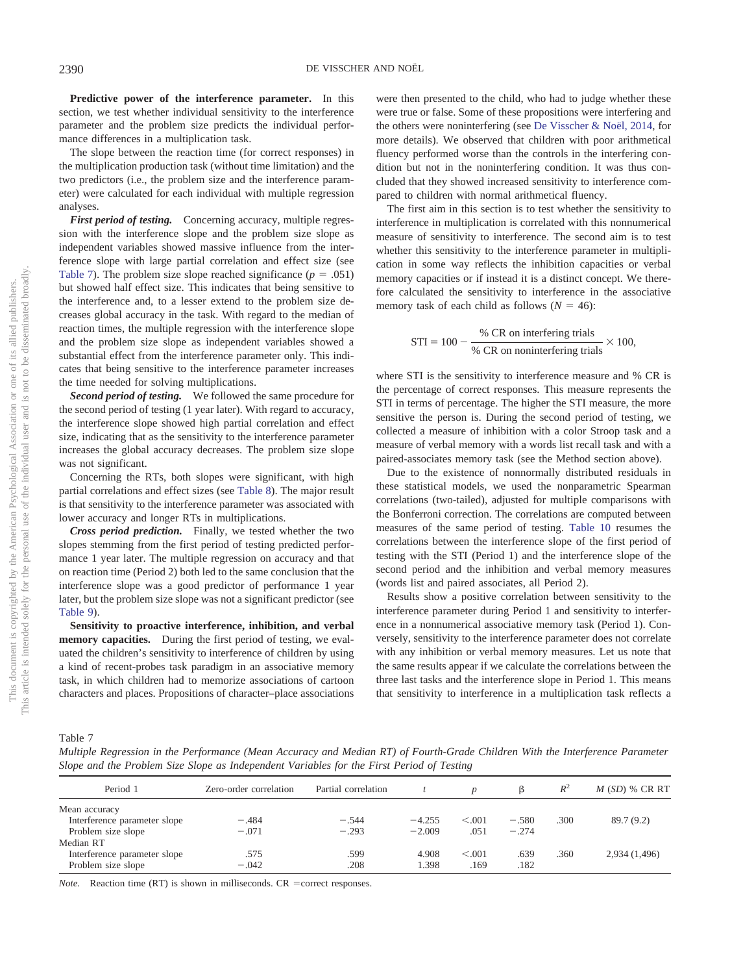**Predictive power of the interference parameter.** In this section, we test whether individual sensitivity to the interference parameter and the problem size predicts the individual performance differences in a multiplication task.

The slope between the reaction time (for correct responses) in the multiplication production task (without time limitation) and the two predictors (i.e., the problem size and the interference parameter) were calculated for each individual with multiple regression analyses.

*First period of testing.* Concerning accuracy, multiple regression with the interference slope and the problem size slope as independent variables showed massive influence from the interference slope with large partial correlation and effect size (see [Table 7\)](#page-10-0). The problem size slope reached significance  $(p = .051)$ but showed half effect size. This indicates that being sensitive to the interference and, to a lesser extend to the problem size decreases global accuracy in the task. With regard to the median of reaction times, the multiple regression with the interference slope and the problem size slope as independent variables showed a substantial effect from the interference parameter only. This indicates that being sensitive to the interference parameter increases the time needed for solving multiplications.

*Second period of testing.* We followed the same procedure for the second period of testing (1 year later). With regard to accuracy, the interference slope showed high partial correlation and effect size, indicating that as the sensitivity to the interference parameter increases the global accuracy decreases. The problem size slope was not significant.

Concerning the RTs, both slopes were significant, with high partial correlations and effect sizes (see [Table 8\)](#page-11-0). The major result is that sensitivity to the interference parameter was associated with lower accuracy and longer RTs in multiplications.

*Cross period prediction.* Finally, we tested whether the two slopes stemming from the first period of testing predicted performance 1 year later. The multiple regression on accuracy and that on reaction time (Period 2) both led to the same conclusion that the interference slope was a good predictor of performance 1 year later, but the problem size slope was not a significant predictor (see [Table 9\)](#page-11-1).

**Sensitivity to proactive interference, inhibition, and verbal memory capacities.** During the first period of testing, we evaluated the children's sensitivity to interference of children by using a kind of recent-probes task paradigm in an associative memory task, in which children had to memorize associations of cartoon characters and places. Propositions of character–place associations

were then presented to the child, who had to judge whether these were true or false. Some of these propositions were interfering and the others were noninterfering (see [De Visscher & Noël, 2014,](#page-15-24) for more details). We observed that children with poor arithmetical fluency performed worse than the controls in the interfering condition but not in the noninterfering condition. It was thus concluded that they showed increased sensitivity to interference compared to children with normal arithmetical fluency.

The first aim in this section is to test whether the sensitivity to interference in multiplication is correlated with this nonnumerical measure of sensitivity to interference. The second aim is to test whether this sensitivity to the interference parameter in multiplication in some way reflects the inhibition capacities or verbal memory capacities or if instead it is a distinct concept. We therefore calculated the sensitivity to interference in the associative memory task of each child as follows ( $N = 46$ ):

$$
STI = 100 - \frac{\% \text{ CR on interfering trials}}{\% \text{ CR on noninterfering trials}} \times 100,
$$

where STI is the sensitivity to interference measure and % CR is the percentage of correct responses. This measure represents the STI in terms of percentage. The higher the STI measure, the more sensitive the person is. During the second period of testing, we collected a measure of inhibition with a color Stroop task and a measure of verbal memory with a words list recall task and with a paired-associates memory task (see the Method section above).

Due to the existence of nonnormally distributed residuals in these statistical models, we used the nonparametric Spearman correlations (two-tailed), adjusted for multiple comparisons with the Bonferroni correction. The correlations are computed between measures of the same period of testing. [Table 10](#page-12-0) resumes the correlations between the interference slope of the first period of testing with the STI (Period 1) and the interference slope of the second period and the inhibition and verbal memory measures (words list and paired associates, all Period 2).

Results show a positive correlation between sensitivity to the interference parameter during Period 1 and sensitivity to interference in a nonnumerical associative memory task (Period 1). Conversely, sensitivity to the interference parameter does not correlate with any inhibition or verbal memory measures. Let us note that the same results appear if we calculate the correlations between the three last tasks and the interference slope in Period 1. This means that sensitivity to interference in a multiplication task reflects a

<span id="page-10-0"></span>Table 7

*Multiple Regression in the Performance (Mean Accuracy and Median RT) of Fourth-Grade Children With the Interference Parameter Slope and the Problem Size Slope as Independent Variables for the First Period of Testing*

| Period 1                     | Zero-order correlation | Partial correlation |          |         |         | $R^2$ | $M(SD)$ % CR RT |
|------------------------------|------------------------|---------------------|----------|---------|---------|-------|-----------------|
| Mean accuracy                |                        |                     |          |         |         |       |                 |
| Interference parameter slope | $-.484$                | $-.544$             | $-4.255$ | < 0.01  | $-.580$ | .300  | 89.7(9.2)       |
| Problem size slope           | $-.071$                | $-.293$             | $-2.009$ | .051    | $-.274$ |       |                 |
| Median RT                    |                        |                     |          |         |         |       |                 |
| Interference parameter slope | .575                   | .599                | 4.908    | < 0.001 | .639    | .360  | 2,934 (1,496)   |
| Problem size slope           | $-.042$                | .208                | 1.398    | .169    | .182    |       |                 |

*Note.* Reaction time  $(RT)$  is shown in milliseconds.  $CR$  = correct responses.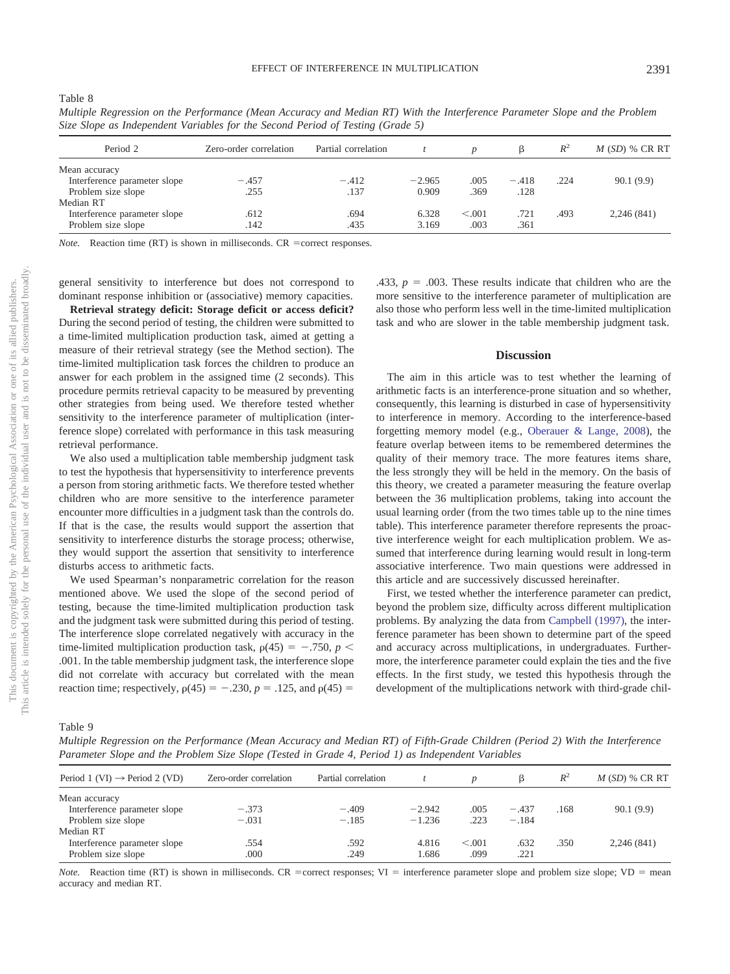<span id="page-11-0"></span>Table 8

| Period 2                     | Zero-order correlation | Partial correlation |          |         |         | $R^2$ | $M(SD)$ % CR RT |
|------------------------------|------------------------|---------------------|----------|---------|---------|-------|-----------------|
| Mean accuracy                |                        |                     |          |         |         |       |                 |
| Interference parameter slope | $-.457$                | $-.412$             | $-2.965$ | .005    | $-.418$ | .224  | 90.1(9.9)       |
| Problem size slope           | .255                   | .137                | 0.909    | .369    | .128    |       |                 |
| Median RT                    |                        |                     |          |         |         |       |                 |
| Interference parameter slope | .612                   | .694                | 6.328    | < 0.001 | .721    | .493  | 2,246(841)      |
| Problem size slope           | .142                   | .435                | 3.169    | .003    | .361    |       |                 |

*Multiple Regression on the Performance (Mean Accuracy and Median RT) With the Interference Parameter Slope and the Problem Size Slope as Independent Variables for the Second Period of Testing (Grade 5)*

*Note.* Reaction time (RT) is shown in milliseconds. CR = correct responses.

general sensitivity to interference but does not correspond to dominant response inhibition or (associative) memory capacities.

**Retrieval strategy deficit: Storage deficit or access deficit?** During the second period of testing, the children were submitted to a time-limited multiplication production task, aimed at getting a measure of their retrieval strategy (see the Method section). The time-limited multiplication task forces the children to produce an answer for each problem in the assigned time (2 seconds). This procedure permits retrieval capacity to be measured by preventing other strategies from being used. We therefore tested whether sensitivity to the interference parameter of multiplication (interference slope) correlated with performance in this task measuring retrieval performance.

We also used a multiplication table membership judgment task to test the hypothesis that hypersensitivity to interference prevents a person from storing arithmetic facts. We therefore tested whether children who are more sensitive to the interference parameter encounter more difficulties in a judgment task than the controls do. If that is the case, the results would support the assertion that sensitivity to interference disturbs the storage process; otherwise, they would support the assertion that sensitivity to interference disturbs access to arithmetic facts.

We used Spearman's nonparametric correlation for the reason mentioned above. We used the slope of the second period of testing, because the time-limited multiplication production task and the judgment task were submitted during this period of testing. The interference slope correlated negatively with accuracy in the time-limited multiplication production task,  $\rho(45) = -.750$ ,  $p <$ .001. In the table membership judgment task, the interference slope did not correlate with accuracy but correlated with the mean reaction time; respectively,  $p(45) = -.230$ ,  $p = .125$ , and  $p(45) =$ 

.433,  $p = .003$ . These results indicate that children who are the more sensitive to the interference parameter of multiplication are also those who perform less well in the time-limited multiplication task and who are slower in the table membership judgment task.

#### **Discussion**

The aim in this article was to test whether the learning of arithmetic facts is an interference-prone situation and so whether, consequently, this learning is disturbed in case of hypersensitivity to interference in memory. According to the interference-based forgetting memory model (e.g., [Oberauer & Lange, 2008\)](#page-16-10), the feature overlap between items to be remembered determines the quality of their memory trace. The more features items share, the less strongly they will be held in the memory. On the basis of this theory, we created a parameter measuring the feature overlap between the 36 multiplication problems, taking into account the usual learning order (from the two times table up to the nine times table). This interference parameter therefore represents the proactive interference weight for each multiplication problem. We assumed that interference during learning would result in long-term associative interference. Two main questions were addressed in this article and are successively discussed hereinafter.

First, we tested whether the interference parameter can predict, beyond the problem size, difficulty across different multiplication problems. By analyzing the data from [Campbell \(1997\),](#page-15-0) the interference parameter has been shown to determine part of the speed and accuracy across multiplications, in undergraduates. Furthermore, the interference parameter could explain the ties and the five effects. In the first study, we tested this hypothesis through the development of the multiplications network with third-grade chil-

<span id="page-11-1"></span>Table 9

*Multiple Regression on the Performance (Mean Accuracy and Median RT) of Fifth-Grade Children (Period 2) With the Interference Parameter Slope and the Problem Size Slope (Tested in Grade 4, Period 1) as Independent Variables*

| Period 1 (VI) $\rightarrow$ Period 2 (VD) | Zero-order correlation | Partial correlation |          |        |         | $R^2$ | $M(SD)$ % CR RT |
|-------------------------------------------|------------------------|---------------------|----------|--------|---------|-------|-----------------|
| Mean accuracy                             |                        |                     |          |        |         |       |                 |
| Interference parameter slope              | $-.373$                | $-.409$             | $-2.942$ | .005   | $-.437$ | .168  | 90.1(9.9)       |
| Problem size slope                        | $-.031$                | $-.185$             | $-1.236$ | .223   | $-.184$ |       |                 |
| Median RT                                 |                        |                     |          |        |         |       |                 |
| Interference parameter slope              | .554                   | .592                | 4.816    | < 0.01 | .632    | .350  | 2,246(841)      |
| Problem size slope                        | .000                   | .249                | 1.686    | .099   | .221    |       |                 |

*Note.* Reaction time (RT) is shown in milliseconds. CR = correct responses; VI = interference parameter slope and problem size slope; VD = mean accuracy and median RT.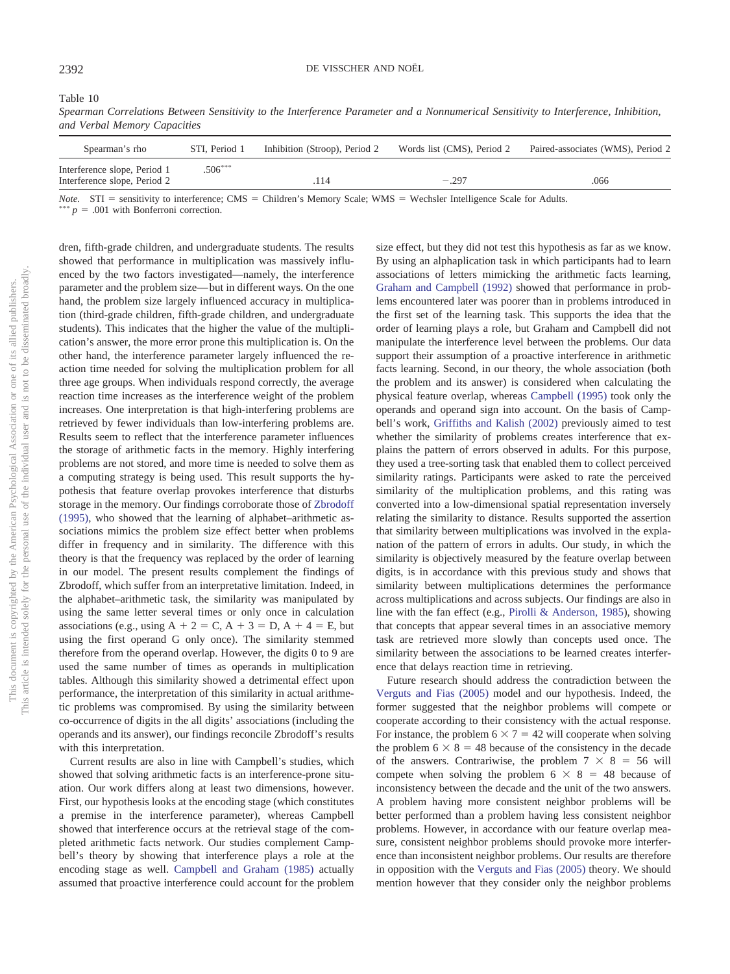<span id="page-12-0"></span>Table 10

*Spearman Correlations Between Sensitivity to the Interference Parameter and a Nonnumerical Sensitivity to Interference, Inhibition, and Verbal Memory Capacities*

| Spearman's rho                                               | STI. Period 1 | Inhibition (Stroop), Period 2 | Words list (CMS), Period 2 | Paired-associates (WMS), Period 2 |
|--------------------------------------------------------------|---------------|-------------------------------|----------------------------|-----------------------------------|
| Interference slope, Period 1<br>Interference slope, Period 2 | $.506***$     | 114                           | $-.297$                    | .066                              |

*Note.*  $STI$  = sensitivity to interference;  $CMS$  = Children's Memory Scale; WMS = Wechsler Intelligence Scale for Adults.

\*\*  $p = .001$  with Bonferroni correction.

dren, fifth-grade children, and undergraduate students. The results showed that performance in multiplication was massively influenced by the two factors investigated—namely, the interference parameter and the problem size— but in different ways. On the one hand, the problem size largely influenced accuracy in multiplication (third-grade children, fifth-grade children, and undergraduate students). This indicates that the higher the value of the multiplication's answer, the more error prone this multiplication is. On the other hand, the interference parameter largely influenced the reaction time needed for solving the multiplication problem for all three age groups. When individuals respond correctly, the average reaction time increases as the interference weight of the problem increases. One interpretation is that high-interfering problems are retrieved by fewer individuals than low-interfering problems are. Results seem to reflect that the interference parameter influences the storage of arithmetic facts in the memory. Highly interfering problems are not stored, and more time is needed to solve them as a computing strategy is being used. This result supports the hypothesis that feature overlap provokes interference that disturbs storage in the memory. Our findings corroborate those of [Zbrodoff](#page-16-17) [\(1995\),](#page-16-17) who showed that the learning of alphabet–arithmetic associations mimics the problem size effect better when problems differ in frequency and in similarity. The difference with this theory is that the frequency was replaced by the order of learning in our model. The present results complement the findings of Zbrodoff, which suffer from an interpretative limitation. Indeed, in the alphabet–arithmetic task, the similarity was manipulated by using the same letter several times or only once in calculation associations (e.g., using  $A + 2 = C$ ,  $A + 3 = D$ ,  $A + 4 = E$ , but using the first operand G only once). The similarity stemmed therefore from the operand overlap. However, the digits 0 to 9 are used the same number of times as operands in multiplication tables. Although this similarity showed a detrimental effect upon performance, the interpretation of this similarity in actual arithmetic problems was compromised. By using the similarity between co-occurrence of digits in the all digits' associations (including the operands and its answer), our findings reconcile Zbrodoff's results with this interpretation.

Current results are also in line with Campbell's studies, which showed that solving arithmetic facts is an interference-prone situation. Our work differs along at least two dimensions, however. First, our hypothesis looks at the encoding stage (which constitutes a premise in the interference parameter), whereas Campbell showed that interference occurs at the retrieval stage of the completed arithmetic facts network. Our studies complement Campbell's theory by showing that interference plays a role at the encoding stage as well. [Campbell and Graham \(1985\)](#page-15-5) actually assumed that proactive interference could account for the problem

size effect, but they did not test this hypothesis as far as we know. By using an alphaplication task in which participants had to learn associations of letters mimicking the arithmetic facts learning, [Graham and Campbell \(1992\)](#page-15-30) showed that performance in problems encountered later was poorer than in problems introduced in the first set of the learning task. This supports the idea that the order of learning plays a role, but Graham and Campbell did not manipulate the interference level between the problems. Our data support their assumption of a proactive interference in arithmetic facts learning. Second, in our theory, the whole association (both the problem and its answer) is considered when calculating the physical feature overlap, whereas [Campbell \(1995\)](#page-15-4) took only the operands and operand sign into account. On the basis of Campbell's work, [Griffiths and Kalish \(2002\)](#page-15-31) previously aimed to test whether the similarity of problems creates interference that explains the pattern of errors observed in adults. For this purpose, they used a tree-sorting task that enabled them to collect perceived similarity ratings. Participants were asked to rate the perceived similarity of the multiplication problems, and this rating was converted into a low-dimensional spatial representation inversely relating the similarity to distance. Results supported the assertion that similarity between multiplications was involved in the explanation of the pattern of errors in adults. Our study, in which the similarity is objectively measured by the feature overlap between digits, is in accordance with this previous study and shows that similarity between multiplications determines the performance across multiplications and across subjects. Our findings are also in line with the fan effect (e.g., [Pirolli & Anderson, 1985\)](#page-16-18), showing that concepts that appear several times in an associative memory task are retrieved more slowly than concepts used once. The similarity between the associations to be learned creates interference that delays reaction time in retrieving.

Future research should address the contradiction between the [Verguts and Fias \(2005\)](#page-16-19) model and our hypothesis. Indeed, the former suggested that the neighbor problems will compete or cooperate according to their consistency with the actual response. For instance, the problem  $6 \times 7 = 42$  will cooperate when solving the problem  $6 \times 8 = 48$  because of the consistency in the decade of the answers. Contrariwise, the problem  $7 \times 8 = 56$  will compete when solving the problem  $6 \times 8 = 48$  because of inconsistency between the decade and the unit of the two answers. A problem having more consistent neighbor problems will be better performed than a problem having less consistent neighbor problems. However, in accordance with our feature overlap measure, consistent neighbor problems should provoke more interference than inconsistent neighbor problems. Our results are therefore in opposition with the [Verguts and Fias \(2005\)](#page-16-19) theory. We should mention however that they consider only the neighbor problems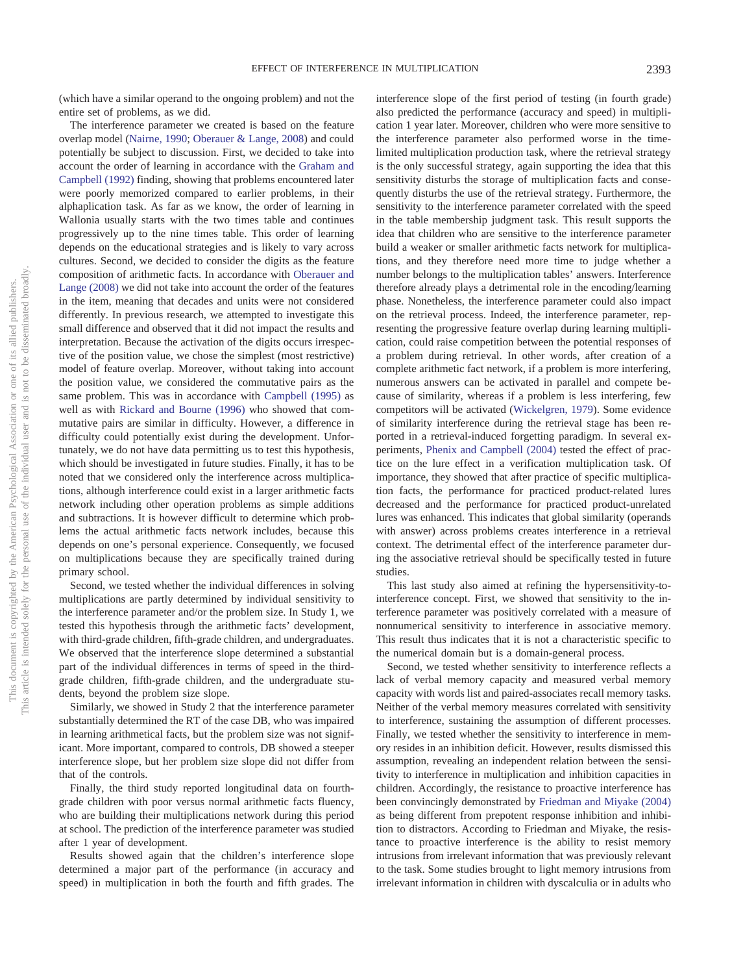(which have a similar operand to the ongoing problem) and not the entire set of problems, as we did.

The interference parameter we created is based on the feature overlap model [\(Nairne, 1990;](#page-16-9) [Oberauer & Lange, 2008\)](#page-16-10) and could potentially be subject to discussion. First, we decided to take into account the order of learning in accordance with the [Graham and](#page-15-30) [Campbell \(1992\)](#page-15-30) finding, showing that problems encountered later were poorly memorized compared to earlier problems, in their alphaplication task. As far as we know, the order of learning in Wallonia usually starts with the two times table and continues progressively up to the nine times table. This order of learning depends on the educational strategies and is likely to vary across cultures. Second, we decided to consider the digits as the feature composition of arithmetic facts. In accordance with [Oberauer and](#page-16-10) [Lange \(2008\)](#page-16-10) we did not take into account the order of the features in the item, meaning that decades and units were not considered differently. In previous research, we attempted to investigate this small difference and observed that it did not impact the results and interpretation. Because the activation of the digits occurs irrespective of the position value, we chose the simplest (most restrictive) model of feature overlap. Moreover, without taking into account the position value, we considered the commutative pairs as the same problem. This was in accordance with [Campbell \(1995\)](#page-15-4) as well as with [Rickard and Bourne \(1996\)](#page-16-12) who showed that commutative pairs are similar in difficulty. However, a difference in difficulty could potentially exist during the development. Unfortunately, we do not have data permitting us to test this hypothesis, which should be investigated in future studies. Finally, it has to be noted that we considered only the interference across multiplications, although interference could exist in a larger arithmetic facts network including other operation problems as simple additions and subtractions. It is however difficult to determine which problems the actual arithmetic facts network includes, because this depends on one's personal experience. Consequently, we focused on multiplications because they are specifically trained during primary school.

Second, we tested whether the individual differences in solving multiplications are partly determined by individual sensitivity to the interference parameter and/or the problem size. In Study 1, we tested this hypothesis through the arithmetic facts' development, with third-grade children, fifth-grade children, and undergraduates. We observed that the interference slope determined a substantial part of the individual differences in terms of speed in the thirdgrade children, fifth-grade children, and the undergraduate students, beyond the problem size slope.

Similarly, we showed in Study 2 that the interference parameter substantially determined the RT of the case DB, who was impaired in learning arithmetical facts, but the problem size was not significant. More important, compared to controls, DB showed a steeper interference slope, but her problem size slope did not differ from that of the controls.

Finally, the third study reported longitudinal data on fourthgrade children with poor versus normal arithmetic facts fluency, who are building their multiplications network during this period at school. The prediction of the interference parameter was studied after 1 year of development.

Results showed again that the children's interference slope determined a major part of the performance (in accuracy and speed) in multiplication in both the fourth and fifth grades. The

interference slope of the first period of testing (in fourth grade) also predicted the performance (accuracy and speed) in multiplication 1 year later. Moreover, children who were more sensitive to the interference parameter also performed worse in the timelimited multiplication production task, where the retrieval strategy is the only successful strategy, again supporting the idea that this sensitivity disturbs the storage of multiplication facts and consequently disturbs the use of the retrieval strategy. Furthermore, the sensitivity to the interference parameter correlated with the speed in the table membership judgment task. This result supports the idea that children who are sensitive to the interference parameter build a weaker or smaller arithmetic facts network for multiplications, and they therefore need more time to judge whether a number belongs to the multiplication tables' answers. Interference therefore already plays a detrimental role in the encoding/learning phase. Nonetheless, the interference parameter could also impact on the retrieval process. Indeed, the interference parameter, representing the progressive feature overlap during learning multiplication, could raise competition between the potential responses of a problem during retrieval. In other words, after creation of a complete arithmetic fact network, if a problem is more interfering, numerous answers can be activated in parallel and compete because of similarity, whereas if a problem is less interfering, few competitors will be activated [\(Wickelgren, 1979\)](#page-16-11). Some evidence of similarity interference during the retrieval stage has been reported in a retrieval-induced forgetting paradigm. In several experiments, [Phenix and Campbell \(2004\)](#page-16-20) tested the effect of practice on the lure effect in a verification multiplication task. Of importance, they showed that after practice of specific multiplication facts, the performance for practiced product-related lures decreased and the performance for practiced product-unrelated lures was enhanced. This indicates that global similarity (operands with answer) across problems creates interference in a retrieval context. The detrimental effect of the interference parameter during the associative retrieval should be specifically tested in future studies.

This last study also aimed at refining the hypersensitivity-tointerference concept. First, we showed that sensitivity to the interference parameter was positively correlated with a measure of nonnumerical sensitivity to interference in associative memory. This result thus indicates that it is not a characteristic specific to the numerical domain but is a domain-general process.

Second, we tested whether sensitivity to interference reflects a lack of verbal memory capacity and measured verbal memory capacity with words list and paired-associates recall memory tasks. Neither of the verbal memory measures correlated with sensitivity to interference, sustaining the assumption of different processes. Finally, we tested whether the sensitivity to interference in memory resides in an inhibition deficit. However, results dismissed this assumption, revealing an independent relation between the sensitivity to interference in multiplication and inhibition capacities in children. Accordingly, the resistance to proactive interference has been convincingly demonstrated by [Friedman and Miyake \(2004\)](#page-15-32) as being different from prepotent response inhibition and inhibition to distractors. According to Friedman and Miyake, the resistance to proactive interference is the ability to resist memory intrusions from irrelevant information that was previously relevant to the task. Some studies brought to light memory intrusions from irrelevant information in children with dyscalculia or in adults who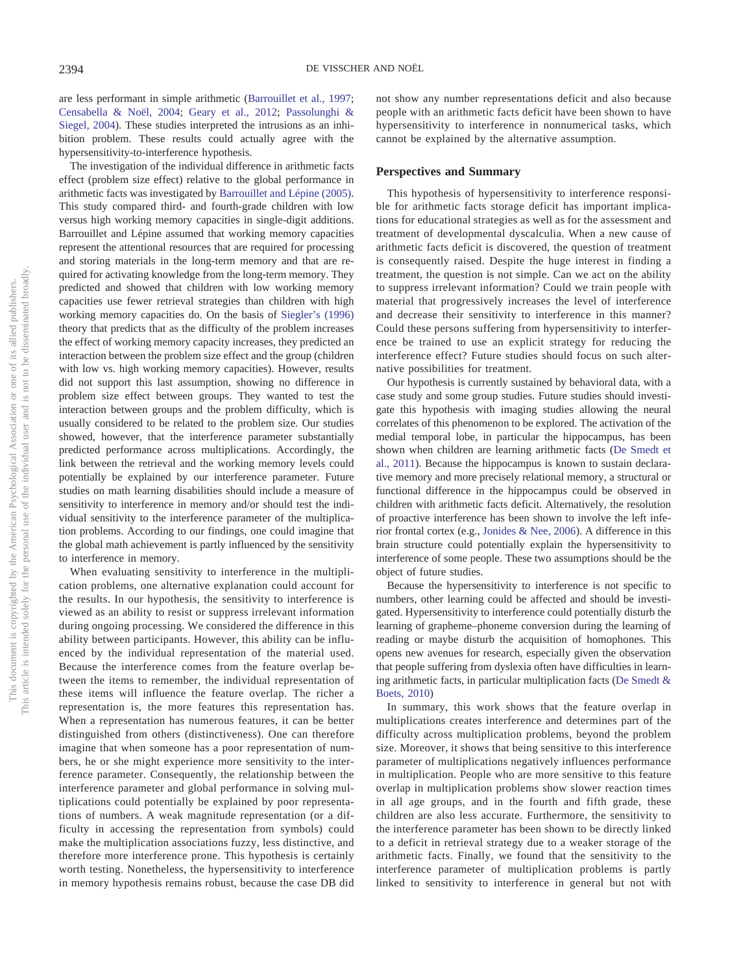are less performant in simple arithmetic [\(Barrouillet et al., 1997;](#page-15-18) [Censabella & Noël, 2004;](#page-15-19) [Geary et al., 2012;](#page-15-20) [Passolunghi &](#page-16-8) [Siegel, 2004\)](#page-16-8). These studies interpreted the intrusions as an inhibition problem. These results could actually agree with the hypersensitivity-to-interference hypothesis.

The investigation of the individual difference in arithmetic facts effect (problem size effect) relative to the global performance in arithmetic facts was investigated by [Barrouillet and Lépine \(2005\).](#page-15-16) This study compared third- and fourth-grade children with low versus high working memory capacities in single-digit additions. Barrouillet and Lépine assumed that working memory capacities represent the attentional resources that are required for processing and storing materials in the long-term memory and that are required for activating knowledge from the long-term memory. They predicted and showed that children with low working memory capacities use fewer retrieval strategies than children with high working memory capacities do. On the basis of [Siegler's \(1996\)](#page-16-21) theory that predicts that as the difficulty of the problem increases the effect of working memory capacity increases, they predicted an interaction between the problem size effect and the group (children with low vs. high working memory capacities). However, results did not support this last assumption, showing no difference in problem size effect between groups. They wanted to test the interaction between groups and the problem difficulty, which is usually considered to be related to the problem size. Our studies showed, however, that the interference parameter substantially predicted performance across multiplications. Accordingly, the link between the retrieval and the working memory levels could potentially be explained by our interference parameter. Future studies on math learning disabilities should include a measure of sensitivity to interference in memory and/or should test the individual sensitivity to the interference parameter of the multiplication problems. According to our findings, one could imagine that the global math achievement is partly influenced by the sensitivity to interference in memory.

When evaluating sensitivity to interference in the multiplication problems, one alternative explanation could account for the results. In our hypothesis, the sensitivity to interference is viewed as an ability to resist or suppress irrelevant information during ongoing processing. We considered the difference in this ability between participants. However, this ability can be influenced by the individual representation of the material used. Because the interference comes from the feature overlap between the items to remember, the individual representation of these items will influence the feature overlap. The richer a representation is, the more features this representation has. When a representation has numerous features, it can be better distinguished from others (distinctiveness). One can therefore imagine that when someone has a poor representation of numbers, he or she might experience more sensitivity to the interference parameter. Consequently, the relationship between the interference parameter and global performance in solving multiplications could potentially be explained by poor representations of numbers. A weak magnitude representation (or a difficulty in accessing the representation from symbols) could make the multiplication associations fuzzy, less distinctive, and therefore more interference prone. This hypothesis is certainly worth testing. Nonetheless, the hypersensitivity to interference in memory hypothesis remains robust, because the case DB did not show any number representations deficit and also because people with an arithmetic facts deficit have been shown to have hypersensitivity to interference in nonnumerical tasks, which cannot be explained by the alternative assumption.

#### **Perspectives and Summary**

This hypothesis of hypersensitivity to interference responsible for arithmetic facts storage deficit has important implications for educational strategies as well as for the assessment and treatment of developmental dyscalculia. When a new cause of arithmetic facts deficit is discovered, the question of treatment is consequently raised. Despite the huge interest in finding a treatment, the question is not simple. Can we act on the ability to suppress irrelevant information? Could we train people with material that progressively increases the level of interference and decrease their sensitivity to interference in this manner? Could these persons suffering from hypersensitivity to interference be trained to use an explicit strategy for reducing the interference effect? Future studies should focus on such alternative possibilities for treatment.

Our hypothesis is currently sustained by behavioral data, with a case study and some group studies. Future studies should investigate this hypothesis with imaging studies allowing the neural correlates of this phenomenon to be explored. The activation of the medial temporal lobe, in particular the hippocampus, has been shown when children are learning arithmetic facts [\(De Smedt et](#page-15-2) [al., 2011\)](#page-15-2). Because the hippocampus is known to sustain declarative memory and more precisely relational memory, a structural or functional difference in the hippocampus could be observed in children with arithmetic facts deficit. Alternatively, the resolution of proactive interference has been shown to involve the left inferior frontal cortex (e.g., [Jonides & Nee, 2006\)](#page-15-33). A difference in this brain structure could potentially explain the hypersensitivity to interference of some people. These two assumptions should be the object of future studies.

Because the hypersensitivity to interference is not specific to numbers, other learning could be affected and should be investigated. Hypersensitivity to interference could potentially disturb the learning of grapheme–phoneme conversion during the learning of reading or maybe disturb the acquisition of homophones. This opens new avenues for research, especially given the observation that people suffering from dyslexia often have difficulties in learning arithmetic facts, in particular multiplication facts [\(De Smedt &](#page-15-34) [Boets, 2010\)](#page-15-34)

In summary, this work shows that the feature overlap in multiplications creates interference and determines part of the difficulty across multiplication problems, beyond the problem size. Moreover, it shows that being sensitive to this interference parameter of multiplications negatively influences performance in multiplication. People who are more sensitive to this feature overlap in multiplication problems show slower reaction times in all age groups, and in the fourth and fifth grade, these children are also less accurate. Furthermore, the sensitivity to the interference parameter has been shown to be directly linked to a deficit in retrieval strategy due to a weaker storage of the arithmetic facts. Finally, we found that the sensitivity to the interference parameter of multiplication problems is partly linked to sensitivity to interference in general but not with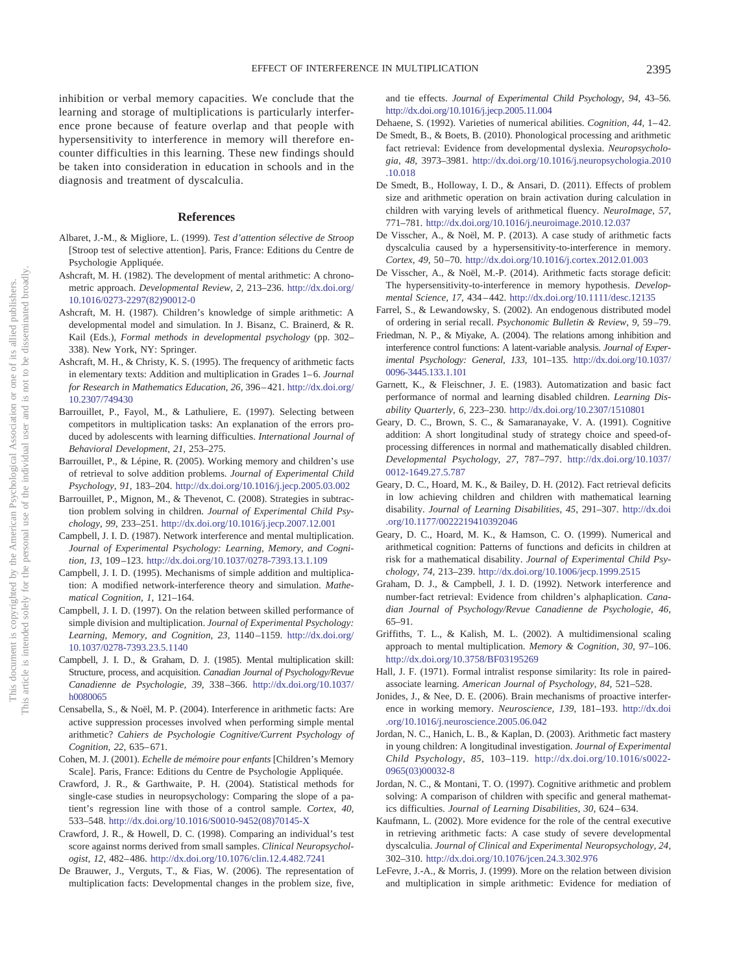inhibition or verbal memory capacities. We conclude that the learning and storage of multiplications is particularly interference prone because of feature overlap and that people with hypersensitivity to interference in memory will therefore encounter difficulties in this learning. These new findings should be taken into consideration in education in schools and in the diagnosis and treatment of dyscalculia.

#### **References**

- <span id="page-15-29"></span>Albaret, J.-M., & Migliore, L. (1999). *Test d'attention sélective de Stroop* [Stroop test of selective attention]. Paris, France: Editions du Centre de Psychologie Appliquée.
- <span id="page-15-7"></span>Ashcraft, M. H. (1982). The development of mental arithmetic: A chronometric approach. *Developmental Review, 2,* 213–236. [http://dx.doi.org/](http://dx.doi.org/10.1016/0273-2297%2882%2990012-0) [10.1016/0273-2297\(82\)90012-0](http://dx.doi.org/10.1016/0273-2297%2882%2990012-0)
- <span id="page-15-8"></span>Ashcraft, M. H. (1987). Children's knowledge of simple arithmetic: A developmental model and simulation. In J. Bisanz, C. Brainerd, & R. Kail (Eds.), *Formal methods in developmental psychology* (pp. 302– 338). New York, NY: Springer.
- <span id="page-15-9"></span>Ashcraft, M. H., & Christy, K. S. (1995). The frequency of arithmetic facts in elementary texts: Addition and multiplication in Grades 1–6. *Journal for Research in Mathematics Education, 26,* 396 – 421. [http://dx.doi.org/](http://dx.doi.org/10.2307/749430) [10.2307/749430](http://dx.doi.org/10.2307/749430)
- <span id="page-15-18"></span>Barrouillet, P., Fayol, M., & Lathuliere, E. (1997). Selecting between competitors in multiplication tasks: An explanation of the errors produced by adolescents with learning difficulties. *International Journal of Behavioral Development, 21,* 253–275.
- <span id="page-15-16"></span>Barrouillet, P., & Lépine, R. (2005). Working memory and children's use of retrieval to solve addition problems. *Journal of Experimental Child Psychology, 91,* 183–204. <http://dx.doi.org/10.1016/j.jecp.2005.03.002>
- <span id="page-15-1"></span>Barrouillet, P., Mignon, M., & Thevenot, C. (2008). Strategies in subtraction problem solving in children. *Journal of Experimental Child Psychology, 99,* 233–251. <http://dx.doi.org/10.1016/j.jecp.2007.12.001>
- <span id="page-15-25"></span>Campbell, J. I. D. (1987). Network interference and mental multiplication. *Journal of Experimental Psychology: Learning, Memory, and Cognition, 13,* 109 –123. <http://dx.doi.org/10.1037/0278-7393.13.1.109>
- <span id="page-15-4"></span>Campbell, J. I. D. (1995). Mechanisms of simple addition and multiplication: A modified network-interference theory and simulation. *Mathematical Cognition, 1,* 121–164.
- <span id="page-15-0"></span>Campbell, J. I. D. (1997). On the relation between skilled performance of simple division and multiplication. *Journal of Experimental Psychology: Learning, Memory, and Cognition, 23,* 1140 –1159. [http://dx.doi.org/](http://dx.doi.org/10.1037/0278-7393.23.5.1140) [10.1037/0278-7393.23.5.1140](http://dx.doi.org/10.1037/0278-7393.23.5.1140)
- <span id="page-15-5"></span>Campbell, J. I. D., & Graham, D. J. (1985). Mental multiplication skill: Structure, process, and acquisition. *Canadian Journal of Psychology/Revue Canadienne de Psychologie, 39,* 338 –366. [http://dx.doi.org/10.1037/](http://dx.doi.org/10.1037/h0080065) [h0080065](http://dx.doi.org/10.1037/h0080065)
- <span id="page-15-19"></span>Censabella, S., & Noël, M. P. (2004). Interference in arithmetic facts: Are active suppression processes involved when performing simple mental arithmetic? *Cahiers de Psychologie Cognitive/Current Psychology of Cognition, 22,* 635– 671.
- <span id="page-15-28"></span>Cohen, M. J. (2001). *Echelle de mémoire pour enfants* [Children's Memory Scale]. Paris, France: Editions du Centre de Psychologie Appliquée.
- <span id="page-15-27"></span>Crawford, J. R., & Garthwaite, P. H. (2004). Statistical methods for single-case studies in neuropsychology: Comparing the slope of a patient's regression line with those of a control sample. *Cortex, 40,* 533–548. [http://dx.doi.org/10.1016/S0010-9452\(08\)70145-X](http://dx.doi.org/10.1016/S0010-9452%2808%2970145-X)
- <span id="page-15-26"></span>Crawford, J. R., & Howell, D. C. (1998). Comparing an individual's test score against norms derived from small samples. *Clinical Neuropsychologist, 12,* 482– 486. <http://dx.doi.org/10.1076/clin.12.4.482.7241>
- <span id="page-15-6"></span>De Brauwer, J., Verguts, T., & Fias, W. (2006). The representation of multiplication facts: Developmental changes in the problem size, five,

and tie effects. *Journal of Experimental Child Psychology, 94,* 43–56. <http://dx.doi.org/10.1016/j.jecp.2005.11.004>

- <span id="page-15-10"></span>Dehaene, S. (1992). Varieties of numerical abilities. *Cognition, 44, 1*-42.
- <span id="page-15-34"></span>De Smedt, B., & Boets, B. (2010). Phonological processing and arithmetic fact retrieval: Evidence from developmental dyslexia. *Neuropsychologia, 48,* 3973–3981. [http://dx.doi.org/10.1016/j.neuropsychologia.2010](http://dx.doi.org/10.1016/j.neuropsychologia.2010.10.018) [.10.018](http://dx.doi.org/10.1016/j.neuropsychologia.2010.10.018)
- <span id="page-15-2"></span>De Smedt, B., Holloway, I. D., & Ansari, D. (2011). Effects of problem size and arithmetic operation on brain activation during calculation in children with varying levels of arithmetical fluency. *NeuroImage, 57,* 771–781. <http://dx.doi.org/10.1016/j.neuroimage.2010.12.037>
- <span id="page-15-21"></span>De Visscher, A., & Noël, M. P. (2013). A case study of arithmetic facts dyscalculia caused by a hypersensitivity-to-interference in memory. *Cortex, 49,* 50 –70. <http://dx.doi.org/10.1016/j.cortex.2012.01.003>
- <span id="page-15-24"></span>De Visscher, A., & Noël, M.-P. (2014). Arithmetic facts storage deficit: The hypersensitivity-to-interference in memory hypothesis. *Developmental Science, 17,* 434 – 442. <http://dx.doi.org/10.1111/desc.12135>
- <span id="page-15-22"></span>Farrel, S., & Lewandowsky, S. (2002). An endogenous distributed model of ordering in serial recall. *Psychonomic Bulletin & Review, 9,* 59 –79.
- <span id="page-15-32"></span>Friedman, N. P., & Miyake, A. (2004). The relations among inhibition and interference control functions: A latent-variable analysis. *Journal of Experimental Psychology: General, 133,* 101–135. [http://dx.doi.org/10.1037/](http://dx.doi.org/10.1037/0096-3445.133.1.101) [0096-3445.133.1.101](http://dx.doi.org/10.1037/0096-3445.133.1.101)
- <span id="page-15-14"></span>Garnett, K., & Fleischner, J. E. (1983). Automatization and basic fact performance of normal and learning disabled children. *Learning Disability Quarterly, 6,* 223–230. <http://dx.doi.org/10.2307/1510801>
- <span id="page-15-15"></span>Geary, D. C., Brown, S. C., & Samaranayake, V. A. (1991). Cognitive addition: A short longitudinal study of strategy choice and speed-ofprocessing differences in normal and mathematically disabled children. *Developmental Psychology, 27,* 787–797. [http://dx.doi.org/10.1037/](http://dx.doi.org/10.1037/0012-1649.27.5.787) [0012-1649.27.5.787](http://dx.doi.org/10.1037/0012-1649.27.5.787)
- <span id="page-15-20"></span>Geary, D. C., Hoard, M. K., & Bailey, D. H. (2012). Fact retrieval deficits in low achieving children and children with mathematical learning disability. *Journal of Learning Disabilities, 45,* 291–307. [http://dx.doi](http://dx.doi.org/10.1177/0022219410392046) [.org/10.1177/0022219410392046](http://dx.doi.org/10.1177/0022219410392046)
- <span id="page-15-11"></span>Geary, D. C., Hoard, M. K., & Hamson, C. O. (1999). Numerical and arithmetical cognition: Patterns of functions and deficits in children at risk for a mathematical disability. *Journal of Experimental Child Psychology, 74,* 213–239. <http://dx.doi.org/10.1006/jecp.1999.2515>
- <span id="page-15-30"></span>Graham, D. J., & Campbell, J. I. D. (1992). Network interference and number-fact retrieval: Evidence from children's alphaplication. *Canadian Journal of Psychology/Revue Canadienne de Psychologie, 46,* 65–91.
- <span id="page-15-31"></span>Griffiths, T. L., & Kalish, M. L. (2002). A multidimensional scaling approach to mental multiplication. *Memory & Cognition, 30,* 97–106. <http://dx.doi.org/10.3758/BF03195269>
- <span id="page-15-23"></span>Hall, J. F. (1971). Formal intralist response similarity: Its role in pairedassociate learning. *American Journal of Psychology, 84,* 521–528.
- <span id="page-15-33"></span>Jonides, J., & Nee, D. E. (2006). Brain mechanisms of proactive interference in working memory. *Neuroscience, 139,* 181–193. [http://dx.doi](http://dx.doi.org/10.1016/j.neuroscience.2005.06.042) [.org/10.1016/j.neuroscience.2005.06.042](http://dx.doi.org/10.1016/j.neuroscience.2005.06.042)
- <span id="page-15-12"></span>Jordan, N. C., Hanich, L. B., & Kaplan, D. (2003). Arithmetic fact mastery in young children: A longitudinal investigation. *Journal of Experimental Child Psychology, 85,* 103–119. [http://dx.doi.org/10.1016/s0022-](http://dx.doi.org/10.1016/s0022-0965%2803%2900032-8) [0965\(03\)00032-8](http://dx.doi.org/10.1016/s0022-0965%2803%2900032-8)
- <span id="page-15-13"></span>Jordan, N. C., & Montani, T. O. (1997). Cognitive arithmetic and problem solving: A comparison of children with specific and general mathematics difficulties. *Journal of Learning Disabilities, 30,* 624 – 634.
- <span id="page-15-17"></span>Kaufmann, L. (2002). More evidence for the role of the central executive in retrieving arithmetic facts: A case study of severe developmental dyscalculia. *Journal of Clinical and Experimental Neuropsychology, 24,* 302–310. <http://dx.doi.org/10.1076/jcen.24.3.302.976>
- <span id="page-15-3"></span>LeFevre, J.-A., & Morris, J. (1999). More on the relation between division and multiplication in simple arithmetic: Evidence for mediation of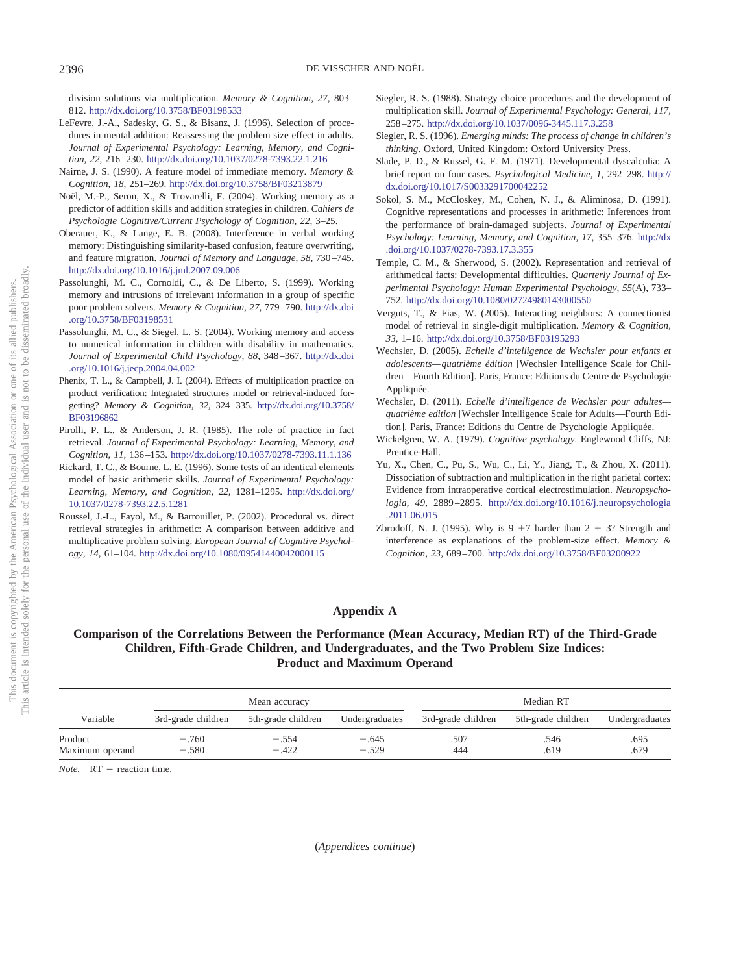division solutions via multiplication. *Memory & Cognition, 27,* 803– 812. <http://dx.doi.org/10.3758/BF03198533>

- <span id="page-16-2"></span>LeFevre, J.-A., Sadesky, G. S., & Bisanz, J. (1996). Selection of procedures in mental addition: Reassessing the problem size effect in adults. *Journal of Experimental Psychology: Learning, Memory, and Cognition, 22,* 216 –230. <http://dx.doi.org/10.1037/0278-7393.22.1.216>
- <span id="page-16-9"></span>Nairne, J. S. (1990). A feature model of immediate memory. *Memory & Cognition, 18,* 251–269. <http://dx.doi.org/10.3758/BF03213879>
- <span id="page-16-5"></span>Noël, M.-P., Seron, X., & Trovarelli, F. (2004). Working memory as a predictor of addition skills and addition strategies in children. *Cahiers de Psychologie Cognitive/Current Psychology of Cognition, 22,* 3–25.
- <span id="page-16-10"></span>Oberauer, K., & Lange, E. B. (2008). Interference in verbal working memory: Distinguishing similarity-based confusion, feature overwriting, and feature migration. *Journal of Memory and Language, 58,* 730 –745. <http://dx.doi.org/10.1016/j.jml.2007.09.006>
- <span id="page-16-7"></span>Passolunghi, M. C., Cornoldi, C., & De Liberto, S. (1999). Working memory and intrusions of irrelevant information in a group of specific poor problem solvers. *Memory & Cognition, 27,* 779 –790. [http://dx.doi](http://dx.doi.org/10.3758/BF03198531) [.org/10.3758/BF03198531](http://dx.doi.org/10.3758/BF03198531)
- <span id="page-16-8"></span>Passolunghi, M. C., & Siegel, L. S. (2004). Working memory and access to numerical information in children with disability in mathematics. *Journal of Experimental Child Psychology, 88,* 348 –367. [http://dx.doi](http://dx.doi.org/10.1016/j.jecp.2004.04.002) [.org/10.1016/j.jecp.2004.04.002](http://dx.doi.org/10.1016/j.jecp.2004.04.002)
- <span id="page-16-20"></span>Phenix, T. L., & Campbell, J. I. (2004). Effects of multiplication practice on product verification: Integrated structures model or retrieval-induced forgetting? *Memory & Cognition, 32,* 324 –335. [http://dx.doi.org/10.3758/](http://dx.doi.org/10.3758/BF03196862) [BF03196862](http://dx.doi.org/10.3758/BF03196862)
- <span id="page-16-18"></span>Pirolli, P. L., & Anderson, J. R. (1985). The role of practice in fact retrieval. *Journal of Experimental Psychology: Learning, Memory, and Cognition, 11,* 136 –153. <http://dx.doi.org/10.1037/0278-7393.11.1.136>
- <span id="page-16-12"></span>Rickard, T. C., & Bourne, L. E. (1996). Some tests of an identical elements model of basic arithmetic skills. *Journal of Experimental Psychology: Learning, Memory, and Cognition, 22,* 1281–1295. [http://dx.doi.org/](http://dx.doi.org/10.1037/0278-7393.22.5.1281) [10.1037/0278-7393.22.5.1281](http://dx.doi.org/10.1037/0278-7393.22.5.1281)
- <span id="page-16-0"></span>Roussel, J.-L., Fayol, M., & Barrouillet, P. (2002). Procedural vs. direct retrieval strategies in arithmetic: A comparison between additive and multiplicative problem solving. *European Journal of Cognitive Psychology, 14,* 61–104. <http://dx.doi.org/10.1080/09541440042000115>
- <span id="page-16-3"></span>Siegler, R. S. (1988). Strategy choice procedures and the development of multiplication skill. *Journal of Experimental Psychology: General, 117,* 258 –275. <http://dx.doi.org/10.1037/0096-3445.117.3.258>
- <span id="page-16-21"></span>Siegler, R. S. (1996). *Emerging minds: The process of change in children's thinking*. Oxford, United Kingdom: Oxford University Press.
- <span id="page-16-4"></span>Slade, P. D., & Russel, G. F. M. (1971). Developmental dyscalculia: A brief report on four cases. *Psychological Medicine, 1,* 292–298. [http://](http://dx.doi.org/10.1017/S0033291700042252) [dx.doi.org/10.1017/S0033291700042252](http://dx.doi.org/10.1017/S0033291700042252)
- <span id="page-16-13"></span>Sokol, S. M., McCloskey, M., Cohen, N. J., & Aliminosa, D. (1991). Cognitive representations and processes in arithmetic: Inferences from the performance of brain-damaged subjects. *Journal of Experimental Psychology: Learning, Memory, and Cognition, 17,* 355–376. [http://dx](http://dx.doi.org/10.1037/0278-7393.17.3.355) [.doi.org/10.1037/0278-7393.17.3.355](http://dx.doi.org/10.1037/0278-7393.17.3.355)
- <span id="page-16-6"></span>Temple, C. M., & Sherwood, S. (2002). Representation and retrieval of arithmetical facts: Developmental difficulties. *Quarterly Journal of Experimental Psychology: Human Experimental Psychology, 55*(A), 733– 752. <http://dx.doi.org/10.1080/02724980143000550>
- <span id="page-16-19"></span>Verguts, T., & Fias, W. (2005). Interacting neighbors: A connectionist model of retrieval in single-digit multiplication. *Memory & Cognition, 33,* 1–16. <http://dx.doi.org/10.3758/BF03195293>
- <span id="page-16-15"></span>Wechsler, D. (2005). *Echelle d'intelligence de Wechsler pour enfants et adolescents— quatrième édition* [Wechsler Intelligence Scale for Children—Fourth Edition]. Paris, France: Editions du Centre de Psychologie Appliquée.
- <span id="page-16-16"></span>Wechsler, D. (2011). *Echelle d'intelligence de Wechsler pour adultes quatrième edition* [Wechsler Intelligence Scale for Adults—Fourth Edition]. Paris, France: Editions du Centre de Psychologie Appliquée.
- <span id="page-16-11"></span>Wickelgren, W. A. (1979). *Cognitive psychology*. Englewood Cliffs, NJ: Prentice-Hall.
- <span id="page-16-1"></span>Yu, X., Chen, C., Pu, S., Wu, C., Li, Y., Jiang, T., & Zhou, X. (2011). Dissociation of subtraction and multiplication in the right parietal cortex: Evidence from intraoperative cortical electrostimulation. *Neuropsychologia, 49,* 2889 –2895. [http://dx.doi.org/10.1016/j.neuropsychologia](http://dx.doi.org/10.1016/j.neuropsychologia.2011.06.015) [.2011.06.015](http://dx.doi.org/10.1016/j.neuropsychologia.2011.06.015)
- <span id="page-16-17"></span>Zbrodoff, N. J. (1995). Why is  $9 + 7$  harder than  $2 + 3$ ? Strength and interference as explanations of the problem-size effect. *Memory & Cognition, 23,* 689 –700. <http://dx.doi.org/10.3758/BF03200922>

### <span id="page-16-14"></span>**Appendix A**

### **Comparison of the Correlations Between the Performance (Mean Accuracy, Median RT) of the Third-Grade Children, Fifth-Grade Children, and Undergraduates, and the Two Problem Size Indices: Product and Maximum Operand**

|                            |                    | Mean accuracy      |                    |                    | Median RT          |                |
|----------------------------|--------------------|--------------------|--------------------|--------------------|--------------------|----------------|
| Variable                   | 3rd-grade children | 5th-grade children | Undergraduates     | 3rd-grade children | 5th-grade children | Undergraduates |
| Product<br>Maximum operand | $-.760$<br>$-.580$ | $-.554$<br>$-.422$ | $-.645$<br>$-.529$ | .507<br>.444       | .546<br>.619       | .695<br>.679   |

*Note.*  $RT =$  reaction time.

This article is intended solely for the personal use of the individual user and is not to be disseminated broadly. not to be disseminated broadly one of its allied publishers. This document is copyrighted by the American Psychological Association or one of its allied publishers.  $\overleftarrow{\text{O}}$  $\widetilde{\Xi}$ Association and This article is intended solely for the personal use of the individual user a This document is copyrighted by the American Psychological

(*Appendices continue*)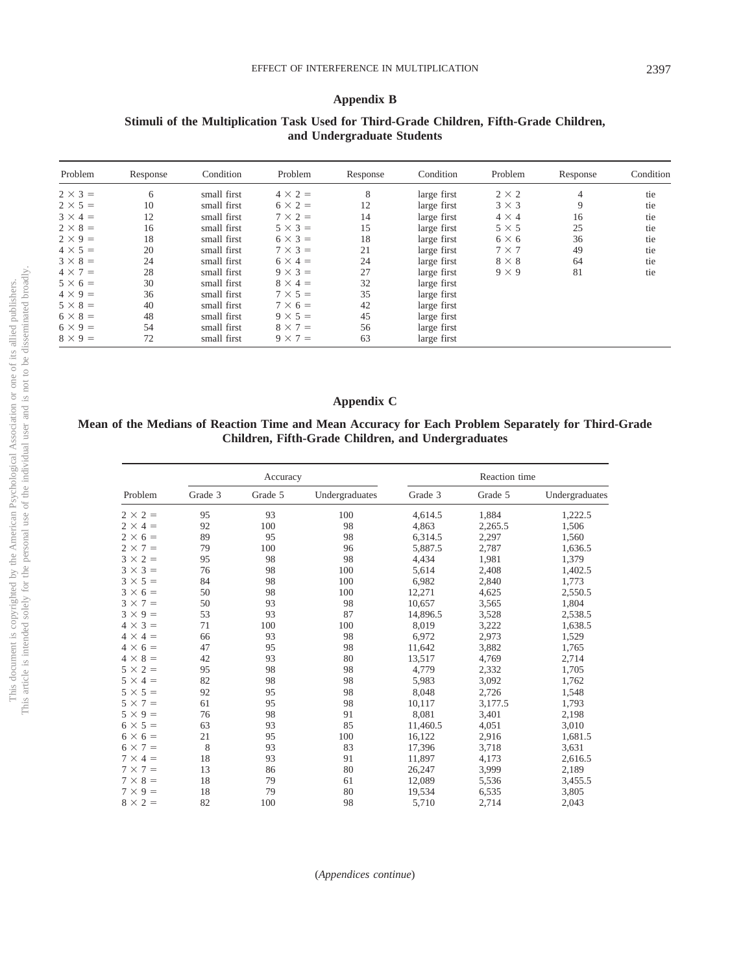#### <span id="page-17-0"></span>**Appendix B**

| Problem        | Response | Condition   | Problem        | Response | Condition   | Problem      | Response | Condition |
|----------------|----------|-------------|----------------|----------|-------------|--------------|----------|-----------|
| $2 \times 3 =$ | 6        | small first | $4 \times 2 =$ | 8        | large first | $2 \times 2$ | 4        | tie       |
| $2 \times 5 =$ | 10       | small first | $6 \times 2 =$ | 12       | large first | $3 \times 3$ | 9        | tie       |
| $3 \times 4 =$ | 12       | small first | $7 \times 2 =$ | 14       | large first | $4 \times 4$ | 16       | tie       |
| $2 \times 8 =$ | 16       | small first | $5 \times 3 =$ | 15       | large first | $5 \times 5$ | 25       | tie       |
| $2 \times 9 =$ | 18       | small first | $6 \times 3 =$ | 18       | large first | $6 \times 6$ | 36       | tie       |
| $4 \times 5 =$ | 20       | small first | $7 \times 3 =$ | 21       | large first | $7 \times 7$ | 49       | tie       |
| $3 \times 8 =$ | 24       | small first | $6 \times 4 =$ | 24       | large first | $8 \times 8$ | 64       | tie       |
| $4 \times 7 =$ | 28       | small first | $9 \times 3 =$ | 27       | large first | $9 \times 9$ | 81       | tie       |
| $5 \times 6 =$ | 30       | small first | $8 \times 4 =$ | 32       | large first |              |          |           |
| $4 \times 9 =$ | 36       | small first | $7 \times 5 =$ | 35       | large first |              |          |           |
| $5 \times 8 =$ | 40       | small first | $7 \times 6 =$ | 42       | large first |              |          |           |
| $6 \times 8 =$ | 48       | small first | $9 \times 5 =$ | 45       | large first |              |          |           |
| $6 \times 9 =$ | 54       | small first | $8 \times 7 =$ | 56       | large first |              |          |           |
| $8 \times 9 =$ | 72       | small first | $9 \times 7 =$ | 63       | large first |              |          |           |

### **Stimuli of the Multiplication Task Used for Third-Grade Children, Fifth-Grade Children, and Undergraduate Students**

### <span id="page-17-1"></span>**Appendix C**

### **Mean of the Medians of Reaction Time and Mean Accuracy for Each Problem Separately for Third-Grade Children, Fifth-Grade Children, and Undergraduates**

|                |         | Accuracy |                |          | Reaction time |                |
|----------------|---------|----------|----------------|----------|---------------|----------------|
| Problem        | Grade 3 | Grade 5  | Undergraduates | Grade 3  | Grade 5       | Undergraduates |
| $2 \times 2 =$ | 95      | 93       | 100            | 4,614.5  | 1,884         | 1,222.5        |
| $2 \times 4 =$ | 92      | 100      | 98             | 4,863    | 2,265.5       | 1,506          |
| $2 \times 6 =$ | 89      | 95       | 98             | 6,314.5  | 2,297         | 1,560          |
| $2 \times 7 =$ | 79      | 100      | 96             | 5,887.5  | 2,787         | 1,636.5        |
| $3 \times 2 =$ | 95      | 98       | 98             | 4,434    | 1,981         | 1,379          |
| $3 \times 3 =$ | 76      | 98       | 100            | 5,614    | 2,408         | 1,402.5        |
| $3 \times 5 =$ | 84      | 98       | 100            | 6,982    | 2,840         | 1,773          |
| $3 \times 6 =$ | 50      | 98       | 100            | 12,271   | 4,625         | 2,550.5        |
| $3 \times 7 =$ | 50      | 93       | 98             | 10,657   | 3,565         | 1,804          |
| $3 \times 9 =$ | 53      | 93       | 87             | 14,896.5 | 3,528         | 2,538.5        |
| $4 \times 3 =$ | 71      | 100      | 100            | 8,019    | 3,222         | 1,638.5        |
| $4 \times 4 =$ | 66      | 93       | 98             | 6.972    | 2,973         | 1,529          |
| $4 \times 6 =$ | 47      | 95       | 98             | 11,642   | 3,882         | 1,765          |
| $4 \times 8 =$ | 42      | 93       | 80             | 13,517   | 4,769         | 2,714          |
| $5 \times 2 =$ | 95      | 98       | 98             | 4,779    | 2,332         | 1,705          |
| $5 \times 4 =$ | 82      | 98       | 98             | 5,983    | 3,092         | 1,762          |
| $5 \times 5 =$ | 92      | 95       | 98             | 8,048    | 2,726         | 1,548          |
| $5 \times 7 =$ | 61      | 95       | 98             | 10,117   | 3,177.5       | 1,793          |
| $5 \times 9 =$ | 76      | 98       | 91             | 8,081    | 3,401         | 2,198          |
| $6 \times 5 =$ | 63      | 93       | 85             | 11,460.5 | 4,051         | 3,010          |
| $6 \times 6 =$ | 21      | 95       | 100            | 16,122   | 2,916         | 1,681.5        |
| $6 \times 7 =$ | 8       | 93       | 83             | 17,396   | 3,718         | 3,631          |
| $7 \times 4 =$ | 18      | 93       | 91             | 11,897   | 4,173         | 2,616.5        |
| $7 \times 7 =$ | 13      | 86       | 80             | 26,247   | 3,999         | 2,189          |
| $7 \times 8 =$ | 18      | 79       | 61             | 12,089   | 5,536         | 3,455.5        |
| $7 \times 9 =$ | 18      | 79       | 80             | 19,534   | 6,535         | 3,805          |
| $8 \times 2 =$ | 82      | 100      | 98             | 5,710    | 2,714         | 2,043          |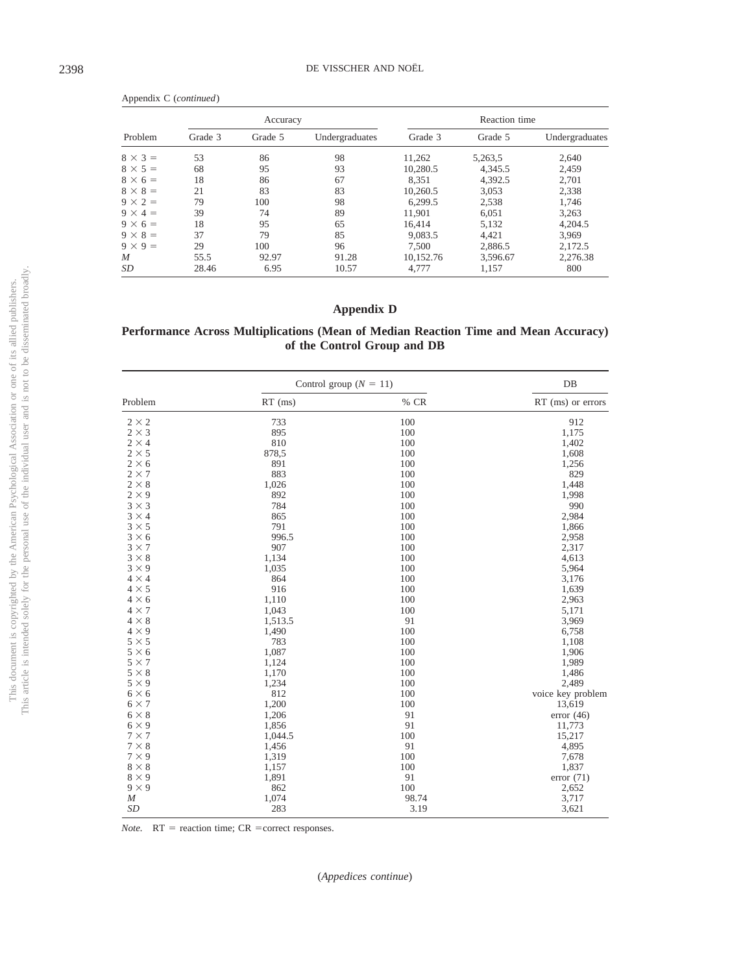|                | Accuracy |         |                |           | Reaction time |                |
|----------------|----------|---------|----------------|-----------|---------------|----------------|
| Problem        | Grade 3  | Grade 5 | Undergraduates | Grade 3   | Grade 5       | Undergraduates |
| $8 \times 3 =$ | 53       | 86      | 98             | 11.262    | 5,263,5       | 2,640          |
| $8 \times 5 =$ | 68       | 95      | 93             | 10,280.5  | 4,345.5       | 2,459          |
| $8 \times 6 =$ | 18       | 86      | 67             | 8.351     | 4,392.5       | 2,701          |
| $8 \times 8 =$ | 21       | 83      | 83             | 10.260.5  | 3,053         | 2,338          |
| $9 \times 2 =$ | 79       | 100     | 98             | 6,299.5   | 2,538         | 1,746          |
| $9 \times 4 =$ | 39       | 74      | 89             | 11,901    | 6,051         | 3,263          |
| $9 \times 6 =$ | 18       | 95      | 65             | 16.414    | 5,132         | 4.204.5        |
| $9 \times 8 =$ | 37       | 79      | 85             | 9,083.5   | 4.421         | 3,969          |
| $9 \times 9 =$ | 29       | 100     | 96             | 7.500     | 2,886.5       | 2.172.5        |
| M              | 55.5     | 92.97   | 91.28          | 10,152.76 | 3,596.67      | 2,276.38       |
| SD             | 28.46    | 6.95    | 10.57          | 4.777     | 1,157         | 800            |

### <span id="page-18-0"></span>**Appendix D**

### **Performance Across Multiplications (Mean of Median Reaction Time and Mean Accuracy) of the Control Group and DB**

|                  | Control group ( $N = 11$ ) |       | $DB$                |
|------------------|----------------------------|-------|---------------------|
| Problem          | $RT$ (ms)                  | % CR  | $RT$ (ms) or errors |
| $2 \times 2$     | 733                        | 100   | 912                 |
| $2 \times 3$     | 895                        | 100   | 1,175               |
| $2 \times 4$     | 810                        | 100   | 1,402               |
| $2 \times 5$     | 878,5                      | 100   | 1,608               |
| $2 \times 6$     | 891                        | 100   | 1,256               |
| $2 \times 7$     | 883                        | 100   | 829                 |
| $2 \times 8$     | 1,026                      | 100   | 1,448               |
| $2 \times 9$     | 892                        | 100   | 1,998               |
| $3 \times 3$     | 784                        | 100   | 990                 |
| $3 \times 4$     | 865                        | 100   | 2,984               |
| $3 \times 5$     | 791                        | 100   | 1,866               |
| $3 \times 6$     | 996.5                      | 100   | 2,958               |
| $3 \times 7$     | 907                        | 100   | 2,317               |
| $3 \times 8$     | 1,134                      | 100   | 4,613               |
| $3 \times 9$     | 1,035                      | 100   | 5,964               |
| $4 \times 4$     | 864                        | 100   | 3,176               |
| $4 \times 5$     | 916                        | 100   | 1,639               |
| $4 \times 6$     | 1,110                      | 100   | 2,963               |
| $4 \times 7$     | 1,043                      | 100   | 5,171               |
| $4 \times 8$     | 1,513.5                    | 91    | 3,969               |
| $4 \times 9$     | 1,490                      | 100   | 6,758               |
| $5 \times 5$     | 783                        | 100   | 1,108               |
| $5 \times 6$     | 1,087                      | 100   | 1,906               |
| $5 \times 7$     | 1,124                      | 100   | 1,989               |
| $5 \times 8$     | 1,170                      | 100   | 1,486               |
| $5 \times 9$     | 1,234                      | 100   | 2,489               |
| $6 \times 6$     | 812                        | 100   | voice key problem   |
| $6 \times 7$     | 1,200                      | 100   | 13,619              |
| $6 \times 8$     | 1,206                      | 91    | error $(46)$        |
| $6 \times 9$     | 1,856                      | 91    | 11,773              |
| $7 \times 7$     | 1,044.5                    | 100   | 15,217              |
| $7 \times 8$     | 1,456                      | 91    | 4,895               |
| $7 \times 9$     | 1,319                      | 100   | 7,678               |
| $8 \times 8$     | 1,157                      | 100   | 1,837               |
| $8 \times 9$     | 1,891                      | 91    | error(71)           |
| $9 \times 9$     | 862                        | 100   | 2,652               |
| $\boldsymbol{M}$ | 1,074                      | 98.74 | 3,717               |
| SD               | 283                        | 3.19  | 3,621               |

*Note.*  $RT$  = reaction time;  $CR$  = correct responses.

Appendix C (*continued*)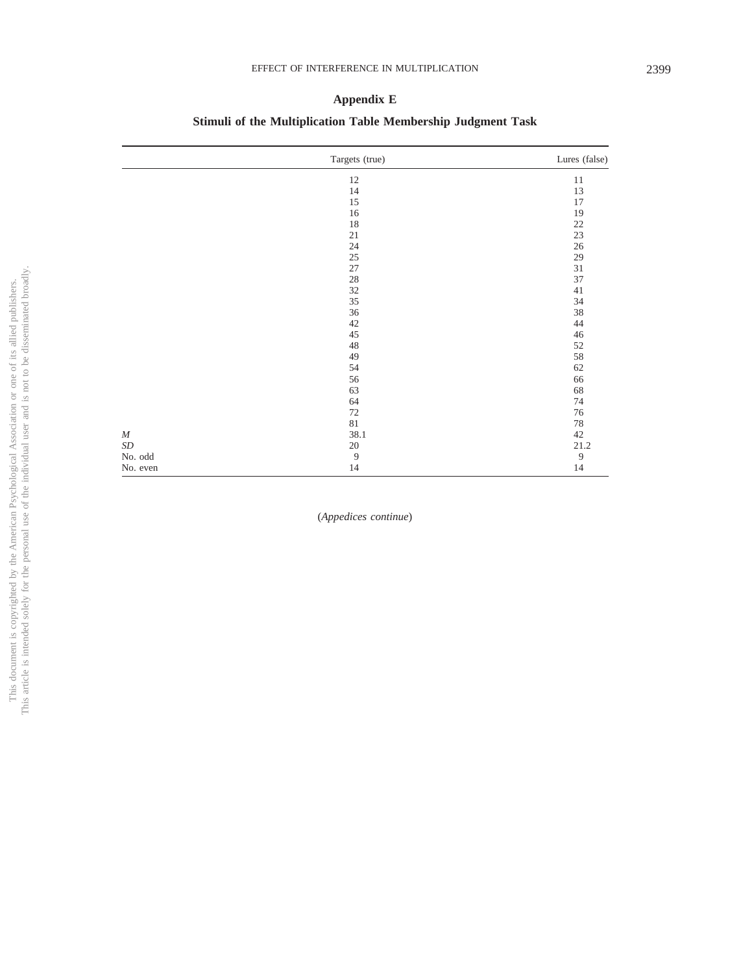### <span id="page-19-0"></span>**Appendix E**

## **Stimuli of the Multiplication Table Membership Judgment Task**

|           | Targets (true) | Lures (false)  |
|-----------|----------------|----------------|
|           | 12             | $11\,$         |
|           | 14             | 13             |
|           | $15\,$         | 17             |
|           | $16\,$         | 19             |
|           | $18\,$         | 22             |
|           | 21             | 23             |
|           | $24\,$         | 26             |
|           | 25             | 29             |
|           | $27\,$         | $31\,$         |
|           | $28\,$         | 37             |
|           | $32\,$         | $41\,$         |
|           | 35             | 34             |
|           | 36             | 38             |
|           | 42             | 44             |
|           | 45             | $46\,$         |
|           | $48\,$         | 52             |
|           | 49             | 58             |
|           | 54             | 62             |
|           | 56             | 66             |
|           | 63             | 68             |
|           | 64             | 74             |
|           | 72             | 76             |
|           | $81\,$         | $78\,$         |
| $\cal M$  | 38.1           | $42\,$         |
| $\cal SD$ | $20\,$         | 21.2           |
| No. odd   | $\overline{9}$ | $\overline{9}$ |
| No. even  | $14\,$         | 14             |

(*Appedices continue*)